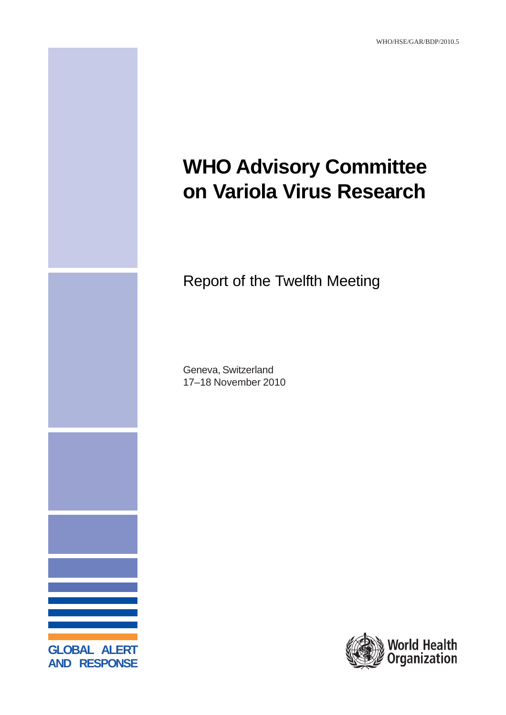

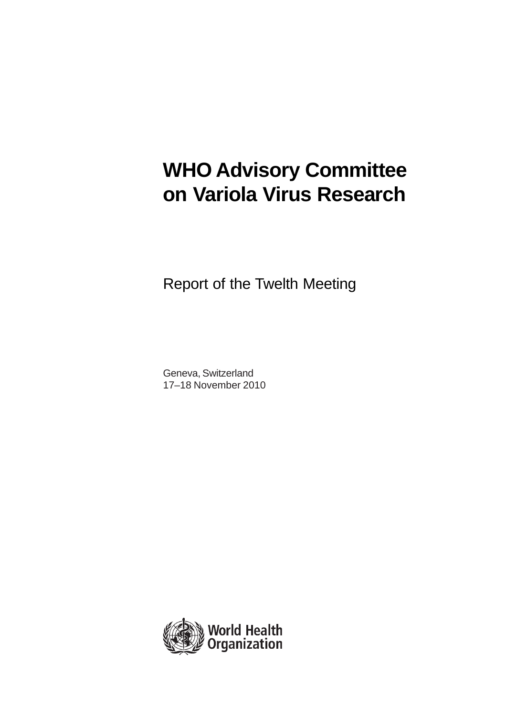# **WHO Advisory Committee on Variola Virus Research**

Report of the Twelth Meeting

Geneva, Switzerland 17–18 November 2010

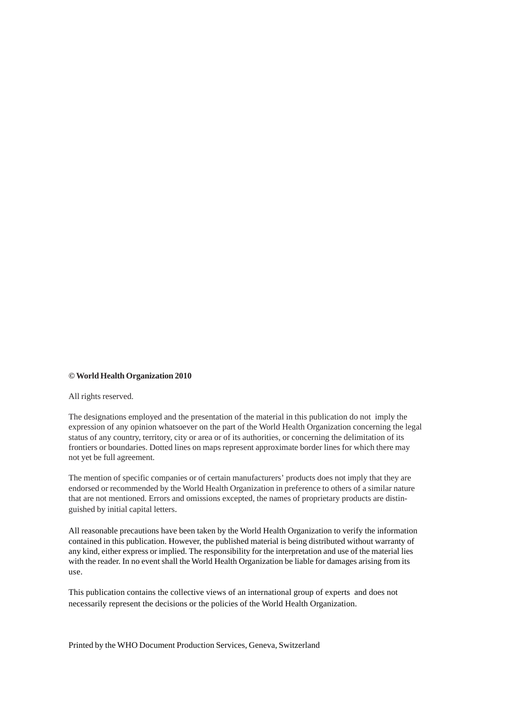#### **© World Health Organization 2010**

All rights reserved.

The designations employed and the presentation of the material in this publication do not imply the expression of any opinion whatsoever on the part of the World Health Organization concerning the legal status of any country, territory, city or area or of its authorities, or concerning the delimitation of its frontiers or boundaries. Dotted lines on maps represent approximate border lines for which there may not yet be full agreement.

The mention of specific companies or of certain manufacturers' products does not imply that they are endorsed or recommended by the World Health Organization in preference to others of a similar nature that are not mentioned. Errors and omissions excepted, the names of proprietary products are distinguished by initial capital letters.

All reasonable precautions have been taken by the World Health Organization to verify the information contained in this publication. However, the published material is being distributed without warranty of any kind, either express or implied. The responsibility for the interpretation and use of the material lies with the reader. In no event shall the World Health Organization be liable for damages arising from its use.

This publication contains the collective views of an international group of experts and does not necessarily represent the decisions or the policies of the World Health Organization.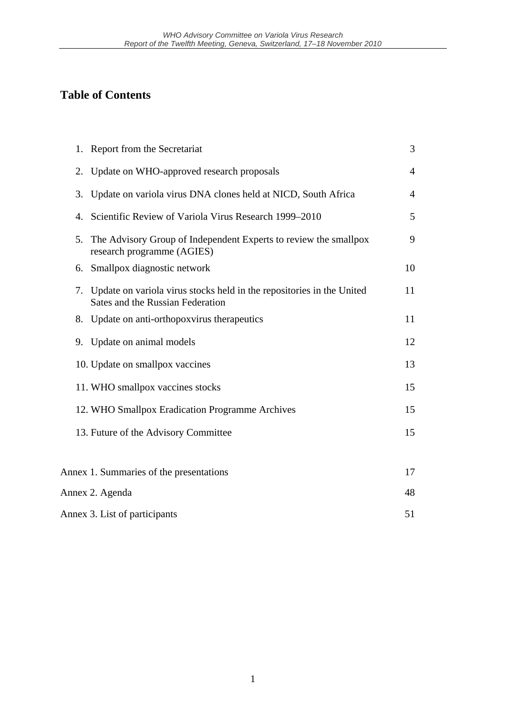## **Table of Contents**

| 1. Report from the Secretariat                                                                                  | 3              |
|-----------------------------------------------------------------------------------------------------------------|----------------|
| Update on WHO-approved research proposals<br>2.                                                                 | $\overline{4}$ |
| Update on variola virus DNA clones held at NICD, South Africa<br>3.                                             | $\overline{4}$ |
| Scientific Review of Variola Virus Research 1999–2010<br>4.                                                     | 5              |
| The Advisory Group of Independent Experts to review the smallpox<br>5.<br>research programme (AGIES)            | 9              |
| 6. Smallpox diagnostic network                                                                                  | 10             |
| Update on variola virus stocks held in the repositories in the United<br>7.<br>Sates and the Russian Federation | 11             |
| Update on anti-orthopoxyirus therapeutics<br>8.                                                                 | 11             |
| Update on animal models<br>9.                                                                                   | 12             |
| 10. Update on smallpox vaccines                                                                                 | 13             |
| 11. WHO smallpox vaccines stocks                                                                                | 15             |
| 12. WHO Smallpox Eradication Programme Archives                                                                 | 15             |
| 13. Future of the Advisory Committee                                                                            | 15             |
|                                                                                                                 |                |
| Annex 1. Summaries of the presentations                                                                         | 17             |
| Annex 2. Agenda                                                                                                 | 48             |
| Annex 3. List of participants                                                                                   | 51             |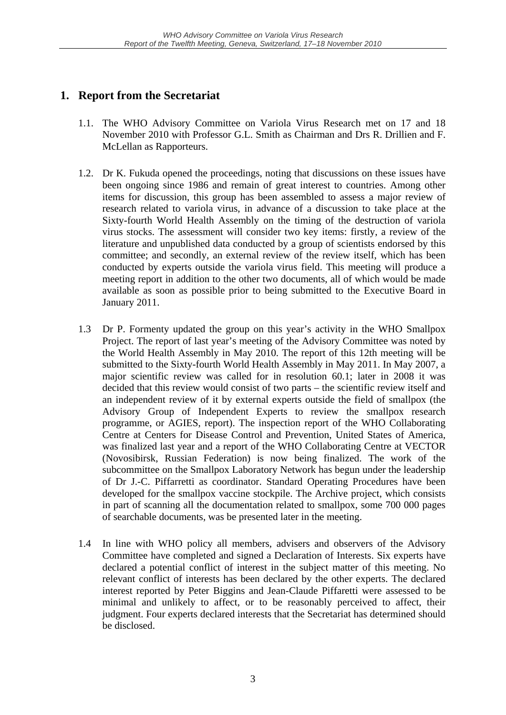## **1. Report from the Secretariat**

- 1.1. The WHO Advisory Committee on Variola Virus Research met on 17 and 18 November 2010 with Professor G.L. Smith as Chairman and Drs R. Drillien and F. McLellan as Rapporteurs.
- 1.2. Dr K. Fukuda opened the proceedings, noting that discussions on these issues have been ongoing since 1986 and remain of great interest to countries. Among other items for discussion, this group has been assembled to assess a major review of research related to variola virus, in advance of a discussion to take place at the Sixty-fourth World Health Assembly on the timing of the destruction of variola virus stocks. The assessment will consider two key items: firstly, a review of the literature and unpublished data conducted by a group of scientists endorsed by this committee; and secondly, an external review of the review itself, which has been conducted by experts outside the variola virus field. This meeting will produce a meeting report in addition to the other two documents, all of which would be made available as soon as possible prior to being submitted to the Executive Board in January 2011.
- 1.3 Dr P. Formenty updated the group on this year's activity in the WHO Smallpox Project. The report of last year's meeting of the Advisory Committee was noted by the World Health Assembly in May 2010. The report of this 12th meeting will be submitted to the Sixty-fourth World Health Assembly in May 2011. In May 2007, a major scientific review was called for in resolution 60.1; later in 2008 it was decided that this review would consist of two parts – the scientific review itself and an independent review of it by external experts outside the field of smallpox (the Advisory Group of Independent Experts to review the smallpox research programme, or AGIES, report). The inspection report of the WHO Collaborating Centre at Centers for Disease Control and Prevention, United States of America, was finalized last year and a report of the WHO Collaborating Centre at VECTOR (Novosibirsk, Russian Federation) is now being finalized. The work of the subcommittee on the Smallpox Laboratory Network has begun under the leadership of Dr J.-C. Piffarretti as coordinator. Standard Operating Procedures have been developed for the smallpox vaccine stockpile. The Archive project, which consists in part of scanning all the documentation related to smallpox, some 700 000 pages of searchable documents, was be presented later in the meeting.
- 1.4 In line with WHO policy all members, advisers and observers of the Advisory Committee have completed and signed a Declaration of Interests. Six experts have declared a potential conflict of interest in the subject matter of this meeting. No relevant conflict of interests has been declared by the other experts. The declared interest reported by Peter Biggins and Jean-Claude Piffaretti were assessed to be minimal and unlikely to affect, or to be reasonably perceived to affect, their judgment. Four experts declared interests that the Secretariat has determined should be disclosed.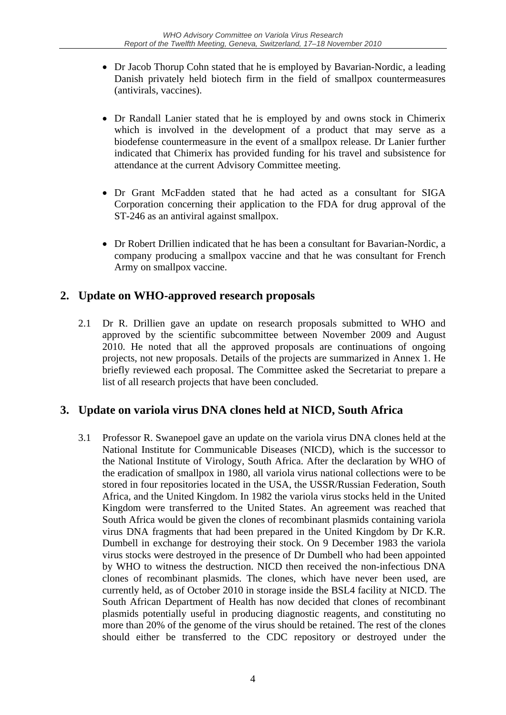- Dr Jacob Thorup Cohn stated that he is employed by Bavarian-Nordic, a leading Danish privately held biotech firm in the field of smallpox countermeasures (antivirals, vaccines).
- Dr Randall Lanier stated that he is employed by and owns stock in Chimerix which is involved in the development of a product that may serve as a biodefense countermeasure in the event of a smallpox release. Dr Lanier further indicated that Chimerix has provided funding for his travel and subsistence for attendance at the current Advisory Committee meeting.
- Dr Grant McFadden stated that he had acted as a consultant for SIGA Corporation concerning their application to the FDA for drug approval of the ST-246 as an antiviral against smallpox.
- Dr Robert Drillien indicated that he has been a consultant for Bavarian-Nordic, a company producing a smallpox vaccine and that he was consultant for French Army on smallpox vaccine.

## **2. Update on WHO-approved research proposals**

2.1 Dr R. Drillien gave an update on research proposals submitted to WHO and approved by the scientific subcommittee between November 2009 and August 2010. He noted that all the approved proposals are continuations of ongoing projects, not new proposals. Details of the projects are summarized in Annex 1. He briefly reviewed each proposal. The Committee asked the Secretariat to prepare a list of all research projects that have been concluded.

## **3. Update on variola virus DNA clones held at NICD, South Africa**

3.1 Professor R. Swanepoel gave an update on the variola virus DNA clones held at the National Institute for Communicable Diseases (NICD), which is the successor to the National Institute of Virology, South Africa. After the declaration by WHO of the eradication of smallpox in 1980, all variola virus national collections were to be stored in four repositories located in the USA, the USSR/Russian Federation, South Africa, and the United Kingdom. In 1982 the variola virus stocks held in the United Kingdom were transferred to the United States. An agreement was reached that South Africa would be given the clones of recombinant plasmids containing variola virus DNA fragments that had been prepared in the United Kingdom by Dr K.R. Dumbell in exchange for destroying their stock. On 9 December 1983 the variola virus stocks were destroyed in the presence of Dr Dumbell who had been appointed by WHO to witness the destruction. NICD then received the non-infectious DNA clones of recombinant plasmids. The clones, which have never been used, are currently held, as of October 2010 in storage inside the BSL4 facility at NICD. The South African Department of Health has now decided that clones of recombinant plasmids potentially useful in producing diagnostic reagents, and constituting no more than 20% of the genome of the virus should be retained. The rest of the clones should either be transferred to the CDC repository or destroyed under the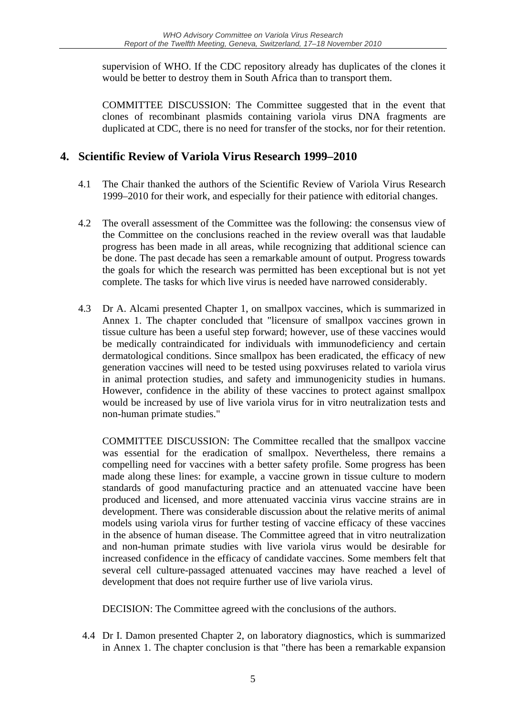supervision of WHO. If the CDC repository already has duplicates of the clones it would be better to destroy them in South Africa than to transport them.

 COMMITTEE DISCUSSION: The Committee suggested that in the event that clones of recombinant plasmids containing variola virus DNA fragments are duplicated at CDC, there is no need for transfer of the stocks, nor for their retention.

## **4. Scientific Review of Variola Virus Research 1999–2010**

- 4.1 The Chair thanked the authors of the Scientific Review of Variola Virus Research 1999–2010 for their work, and especially for their patience with editorial changes.
- 4.2 The overall assessment of the Committee was the following: the consensus view of the Committee on the conclusions reached in the review overall was that laudable progress has been made in all areas, while recognizing that additional science can be done. The past decade has seen a remarkable amount of output. Progress towards the goals for which the research was permitted has been exceptional but is not yet complete. The tasks for which live virus is needed have narrowed considerably.
- 4.3 Dr A. Alcami presented Chapter 1, on smallpox vaccines, which is summarized in Annex 1. The chapter concluded that "licensure of smallpox vaccines grown in tissue culture has been a useful step forward; however, use of these vaccines would be medically contraindicated for individuals with immunodeficiency and certain dermatological conditions. Since smallpox has been eradicated, the efficacy of new generation vaccines will need to be tested using poxviruses related to variola virus in animal protection studies, and safety and immunogenicity studies in humans. However, confidence in the ability of these vaccines to protect against smallpox would be increased by use of live variola virus for in vitro neutralization tests and non-human primate studies."

COMMITTEE DISCUSSION: The Committee recalled that the smallpox vaccine was essential for the eradication of smallpox. Nevertheless, there remains a compelling need for vaccines with a better safety profile. Some progress has been made along these lines: for example, a vaccine grown in tissue culture to modern standards of good manufacturing practice and an attenuated vaccine have been produced and licensed, and more attenuated vaccinia virus vaccine strains are in development. There was considerable discussion about the relative merits of animal models using variola virus for further testing of vaccine efficacy of these vaccines in the absence of human disease. The Committee agreed that in vitro neutralization and non-human primate studies with live variola virus would be desirable for increased confidence in the efficacy of candidate vaccines. Some members felt that several cell culture-passaged attenuated vaccines may have reached a level of development that does not require further use of live variola virus.

DECISION: The Committee agreed with the conclusions of the authors.

 4.4 Dr I. Damon presented Chapter 2, on laboratory diagnostics, which is summarized in Annex 1. The chapter conclusion is that "there has been a remarkable expansion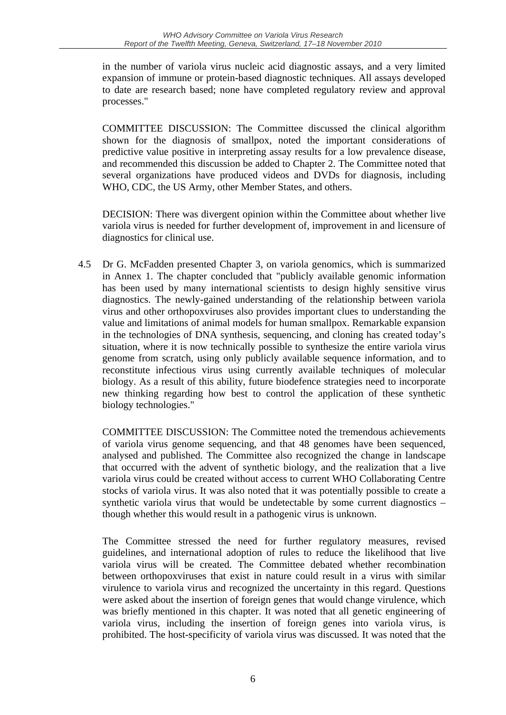in the number of variola virus nucleic acid diagnostic assays, and a very limited expansion of immune or protein-based diagnostic techniques. All assays developed to date are research based; none have completed regulatory review and approval processes."

COMMITTEE DISCUSSION: The Committee discussed the clinical algorithm shown for the diagnosis of smallpox, noted the important considerations of predictive value positive in interpreting assay results for a low prevalence disease, and recommended this discussion be added to Chapter 2. The Committee noted that several organizations have produced videos and DVDs for diagnosis, including WHO, CDC, the US Army, other Member States, and others.

DECISION: There was divergent opinion within the Committee about whether live variola virus is needed for further development of, improvement in and licensure of diagnostics for clinical use.

4.5 Dr G. McFadden presented Chapter 3, on variola genomics, which is summarized in Annex 1. The chapter concluded that "publicly available genomic information has been used by many international scientists to design highly sensitive virus diagnostics. The newly-gained understanding of the relationship between variola virus and other orthopoxviruses also provides important clues to understanding the value and limitations of animal models for human smallpox. Remarkable expansion in the technologies of DNA synthesis, sequencing, and cloning has created today's situation, where it is now technically possible to synthesize the entire variola virus genome from scratch, using only publicly available sequence information, and to reconstitute infectious virus using currently available techniques of molecular biology. As a result of this ability, future biodefence strategies need to incorporate new thinking regarding how best to control the application of these synthetic biology technologies."

COMMITTEE DISCUSSION: The Committee noted the tremendous achievements of variola virus genome sequencing, and that 48 genomes have been sequenced, analysed and published. The Committee also recognized the change in landscape that occurred with the advent of synthetic biology, and the realization that a live variola virus could be created without access to current WHO Collaborating Centre stocks of variola virus. It was also noted that it was potentially possible to create a synthetic variola virus that would be undetectable by some current diagnostics – though whether this would result in a pathogenic virus is unknown.

 The Committee stressed the need for further regulatory measures, revised guidelines, and international adoption of rules to reduce the likelihood that live variola virus will be created. The Committee debated whether recombination between orthopoxviruses that exist in nature could result in a virus with similar virulence to variola virus and recognized the uncertainty in this regard. Questions were asked about the insertion of foreign genes that would change virulence, which was briefly mentioned in this chapter. It was noted that all genetic engineering of variola virus, including the insertion of foreign genes into variola virus, is prohibited. The host-specificity of variola virus was discussed. It was noted that the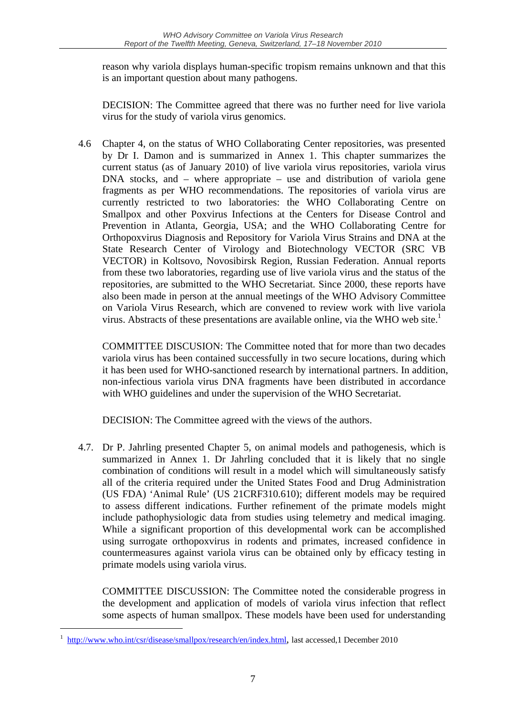reason why variola displays human-specific tropism remains unknown and that this is an important question about many pathogens.

DECISION: The Committee agreed that there was no further need for live variola virus for the study of variola virus genomics.

4.6 Chapter 4, on the status of WHO Collaborating Center repositories, was presented by Dr I. Damon and is summarized in Annex 1. This chapter summarizes the current status (as of January 2010) of live variola virus repositories, variola virus DNA stocks, and – where appropriate – use and distribution of variola gene fragments as per WHO recommendations. The repositories of variola virus are currently restricted to two laboratories: the WHO Collaborating Centre on Smallpox and other Poxvirus Infections at the Centers for Disease Control and Prevention in Atlanta, Georgia, USA; and the WHO Collaborating Centre for Orthopoxvirus Diagnosis and Repository for Variola Virus Strains and DNA at the State Research Center of Virology and Biotechnology VECTOR (SRC VB VECTOR) in Koltsovo, Novosibirsk Region, Russian Federation. Annual reports from these two laboratories, regarding use of live variola virus and the status of the repositories, are submitted to the WHO Secretariat. Since 2000, these reports have also been made in person at the annual meetings of the WHO Advisory Committee on Variola Virus Research, which are convened to review work with live variola virus. Abstracts of these presentations are available online, via the WHO web site.<sup>1</sup>

COMMITTEE DISCUSION: The Committee noted that for more than two decades variola virus has been contained successfully in two secure locations, during which it has been used for WHO-sanctioned research by international partners. In addition, non-infectious variola virus DNA fragments have been distributed in accordance with WHO guidelines and under the supervision of the WHO Secretariat.

DECISION: The Committee agreed with the views of the authors.

4.7. Dr P. Jahrling presented Chapter 5, on animal models and pathogenesis, which is summarized in Annex 1. Dr Jahrling concluded that it is likely that no single combination of conditions will result in a model which will simultaneously satisfy all of the criteria required under the United States Food and Drug Administration (US FDA) 'Animal Rule' (US 21CRF310.610); different models may be required to assess different indications. Further refinement of the primate models might include pathophysiologic data from studies using telemetry and medical imaging. While a significant proportion of this developmental work can be accomplished using surrogate orthopoxvirus in rodents and primates, increased confidence in countermeasures against variola virus can be obtained only by efficacy testing in primate models using variola virus.

COMMITTEE DISCUSSION: The Committee noted the considerable progress in the development and application of models of variola virus infection that reflect some aspects of human smallpox. These models have been used for understanding

1

<sup>1</sup> http://www.who.int/csr/disease/smallpox/research/en/index.html, last accessed,1 December 2010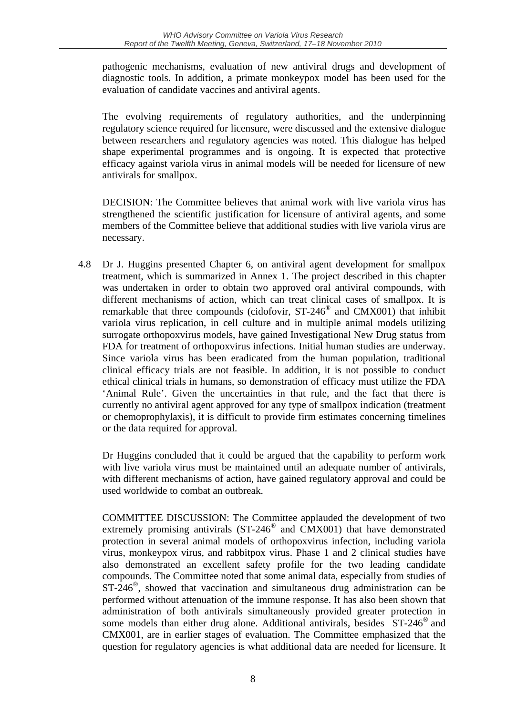pathogenic mechanisms, evaluation of new antiviral drugs and development of diagnostic tools. In addition, a primate monkeypox model has been used for the evaluation of candidate vaccines and antiviral agents.

The evolving requirements of regulatory authorities, and the underpinning regulatory science required for licensure, were discussed and the extensive dialogue between researchers and regulatory agencies was noted. This dialogue has helped shape experimental programmes and is ongoing. It is expected that protective efficacy against variola virus in animal models will be needed for licensure of new antivirals for smallpox.

DECISION: The Committee believes that animal work with live variola virus has strengthened the scientific justification for licensure of antiviral agents, and some members of the Committee believe that additional studies with live variola virus are necessary.

4.8 Dr J. Huggins presented Chapter 6, on antiviral agent development for smallpox treatment, which is summarized in Annex 1. The project described in this chapter was undertaken in order to obtain two approved oral antiviral compounds, with different mechanisms of action, which can treat clinical cases of smallpox. It is remarkable that three compounds (cidofovir, ST-246® and CMX001) that inhibit variola virus replication, in cell culture and in multiple animal models utilizing surrogate orthopoxvirus models, have gained Investigational New Drug status from FDA for treatment of orthopoxvirus infections. Initial human studies are underway. Since variola virus has been eradicated from the human population, traditional clinical efficacy trials are not feasible. In addition, it is not possible to conduct ethical clinical trials in humans, so demonstration of efficacy must utilize the FDA 'Animal Rule'. Given the uncertainties in that rule, and the fact that there is currently no antiviral agent approved for any type of smallpox indication (treatment or chemoprophylaxis), it is difficult to provide firm estimates concerning timelines or the data required for approval.

Dr Huggins concluded that it could be argued that the capability to perform work with live variola virus must be maintained until an adequate number of antivirals, with different mechanisms of action, have gained regulatory approval and could be used worldwide to combat an outbreak.

COMMITTEE DISCUSSION: The Committee applauded the development of two extremely promising antivirals (ST-246<sup>®</sup> and CMX001) that have demonstrated protection in several animal models of orthopoxvirus infection, including variola virus, monkeypox virus, and rabbitpox virus. Phase 1 and 2 clinical studies have also demonstrated an excellent safety profile for the two leading candidate compounds. The Committee noted that some animal data, especially from studies of  $ST-246^\circ$ , showed that vaccination and simultaneous drug administration can be performed without attenuation of the immune response. It has also been shown that administration of both antivirals simultaneously provided greater protection in some models than either drug alone. Additional antivirals, besides ST-246<sup>®</sup> and CMX001, are in earlier stages of evaluation. The Committee emphasized that the question for regulatory agencies is what additional data are needed for licensure. It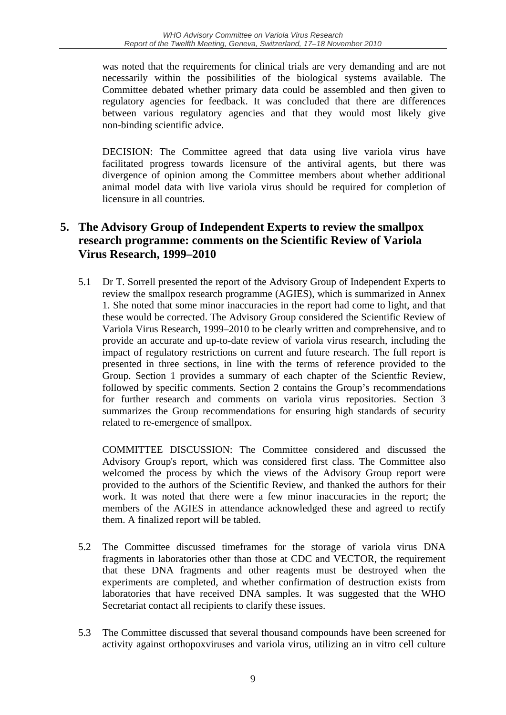was noted that the requirements for clinical trials are very demanding and are not necessarily within the possibilities of the biological systems available. The Committee debated whether primary data could be assembled and then given to regulatory agencies for feedback. It was concluded that there are differences between various regulatory agencies and that they would most likely give non-binding scientific advice.

DECISION: The Committee agreed that data using live variola virus have facilitated progress towards licensure of the antiviral agents, but there was divergence of opinion among the Committee members about whether additional animal model data with live variola virus should be required for completion of licensure in all countries.

## **5. The Advisory Group of Independent Experts to review the smallpox research programme: comments on the Scientific Review of Variola Virus Research, 1999–2010**

5.1 Dr T. Sorrell presented the report of the Advisory Group of Independent Experts to review the smallpox research programme (AGIES), which is summarized in Annex 1. She noted that some minor inaccuracies in the report had come to light, and that these would be corrected. The Advisory Group considered the Scientific Review of Variola Virus Research, 1999–2010 to be clearly written and comprehensive, and to provide an accurate and up-to-date review of variola virus research, including the impact of regulatory restrictions on current and future research. The full report is presented in three sections, in line with the terms of reference provided to the Group. Section 1 provides a summary of each chapter of the Scientfic Review, followed by specific comments. Section 2 contains the Group's recommendations for further research and comments on variola virus repositories. Section 3 summarizes the Group recommendations for ensuring high standards of security related to re-emergence of smallpox.

 COMMITTEE DISCUSSION: The Committee considered and discussed the Advisory Group's report, which was considered first class. The Committee also welcomed the process by which the views of the Advisory Group report were provided to the authors of the Scientific Review, and thanked the authors for their work. It was noted that there were a few minor inaccuracies in the report; the members of the AGIES in attendance acknowledged these and agreed to rectify them. A finalized report will be tabled.

- 5.2 The Committee discussed timeframes for the storage of variola virus DNA fragments in laboratories other than those at CDC and VECTOR, the requirement that these DNA fragments and other reagents must be destroyed when the experiments are completed, and whether confirmation of destruction exists from laboratories that have received DNA samples. It was suggested that the WHO Secretariat contact all recipients to clarify these issues.
- 5.3 The Committee discussed that several thousand compounds have been screened for activity against orthopoxviruses and variola virus, utilizing an in vitro cell culture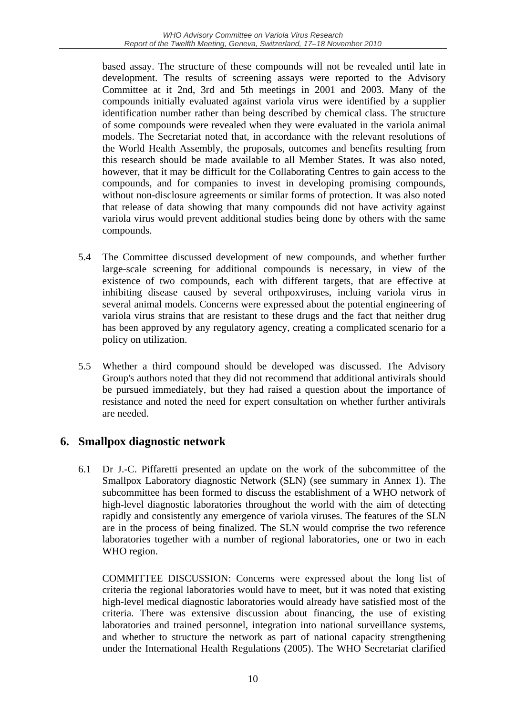based assay. The structure of these compounds will not be revealed until late in development. The results of screening assays were reported to the Advisory Committee at it 2nd, 3rd and 5th meetings in 2001 and 2003. Many of the compounds initially evaluated against variola virus were identified by a supplier identification number rather than being described by chemical class. The structure of some compounds were revealed when they were evaluated in the variola animal models. The Secretariat noted that, in accordance with the relevant resolutions of the World Health Assembly, the proposals, outcomes and benefits resulting from this research should be made available to all Member States. It was also noted, however, that it may be difficult for the Collaborating Centres to gain access to the compounds, and for companies to invest in developing promising compounds, without non-disclosure agreements or similar forms of protection. It was also noted that release of data showing that many compounds did not have activity against variola virus would prevent additional studies being done by others with the same compounds.

- 5.4 The Committee discussed development of new compounds, and whether further large-scale screening for additional compounds is necessary, in view of the existence of two compounds, each with different targets, that are effective at inhibiting disease caused by several orthpoxviruses, incluing variola virus in several animal models. Concerns were expressed about the potential engineering of variola virus strains that are resistant to these drugs and the fact that neither drug has been approved by any regulatory agency, creating a complicated scenario for a policy on utilization.
- 5.5 Whether a third compound should be developed was discussed. The Advisory Group's authors noted that they did not recommend that additional antivirals should be pursued immediately, but they had raised a question about the importance of resistance and noted the need for expert consultation on whether further antivirals are needed.

## **6. Smallpox diagnostic network**

6.1 Dr J.-C. Piffaretti presented an update on the work of the subcommittee of the Smallpox Laboratory diagnostic Network (SLN) (see summary in Annex 1). The subcommittee has been formed to discuss the establishment of a WHO network of high-level diagnostic laboratories throughout the world with the aim of detecting rapidly and consistently any emergence of variola viruses. The features of the SLN are in the process of being finalized. The SLN would comprise the two reference laboratories together with a number of regional laboratories, one or two in each WHO region.

COMMITTEE DISCUSSION: Concerns were expressed about the long list of criteria the regional laboratories would have to meet, but it was noted that existing high-level medical diagnostic laboratories would already have satisfied most of the criteria. There was extensive discussion about financing, the use of existing laboratories and trained personnel, integration into national surveillance systems, and whether to structure the network as part of national capacity strengthening under the International Health Regulations (2005). The WHO Secretariat clarified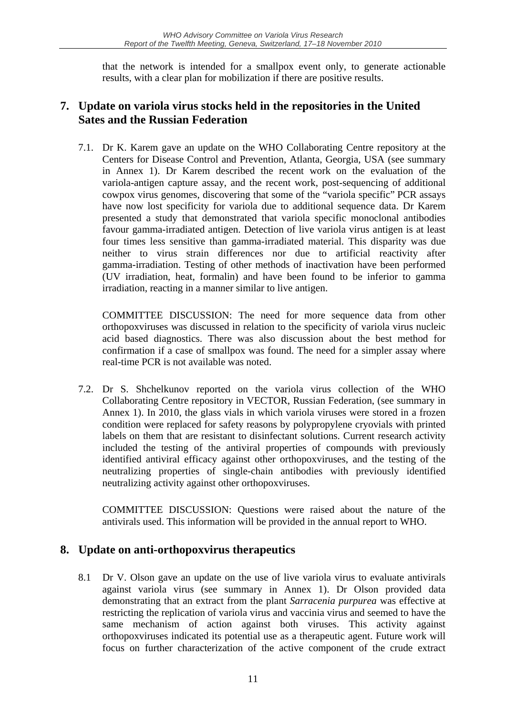that the network is intended for a smallpox event only, to generate actionable results, with a clear plan for mobilization if there are positive results.

## **7. Update on variola virus stocks held in the repositories in the United Sates and the Russian Federation**

7.1. Dr K. Karem gave an update on the WHO Collaborating Centre repository at the Centers for Disease Control and Prevention, Atlanta, Georgia, USA (see summary in Annex 1). Dr Karem described the recent work on the evaluation of the variola-antigen capture assay, and the recent work, post-sequencing of additional cowpox virus genomes, discovering that some of the "variola specific" PCR assays have now lost specificity for variola due to additional sequence data. Dr Karem presented a study that demonstrated that variola specific monoclonal antibodies favour gamma-irradiated antigen. Detection of live variola virus antigen is at least four times less sensitive than gamma-irradiated material. This disparity was due neither to virus strain differences nor due to artificial reactivity after gamma-irradiation. Testing of other methods of inactivation have been performed (UV irradiation, heat, formalin) and have been found to be inferior to gamma irradiation, reacting in a manner similar to live antigen.

COMMITTEE DISCUSSION: The need for more sequence data from other orthopoxviruses was discussed in relation to the specificity of variola virus nucleic acid based diagnostics. There was also discussion about the best method for confirmation if a case of smallpox was found. The need for a simpler assay where real-time PCR is not available was noted.

7.2. Dr S. Shchelkunov reported on the variola virus collection of the WHO Collaborating Centre repository in VECTOR, Russian Federation, (see summary in Annex 1). In 2010, the glass vials in which variola viruses were stored in a frozen condition were replaced for safety reasons by polypropylene cryovials with printed labels on them that are resistant to disinfectant solutions. Current research activity included the testing of the antiviral properties of compounds with previously identified antiviral efficacy against other orthopoxviruses, and the testing of the neutralizing properties of single-chain antibodies with previously identified neutralizing activity against other orthopoxviruses.

 COMMITTEE DISCUSSION: Questions were raised about the nature of the antivirals used. This information will be provided in the annual report to WHO.

## **8. Update on anti-orthopoxvirus therapeutics**

8.1 Dr V. Olson gave an update on the use of live variola virus to evaluate antivirals against variola virus (see summary in Annex 1). Dr Olson provided data demonstrating that an extract from the plant *Sarracenia purpurea* was effective at restricting the replication of variola virus and vaccinia virus and seemed to have the same mechanism of action against both viruses. This activity against orthopoxviruses indicated its potential use as a therapeutic agent. Future work will focus on further characterization of the active component of the crude extract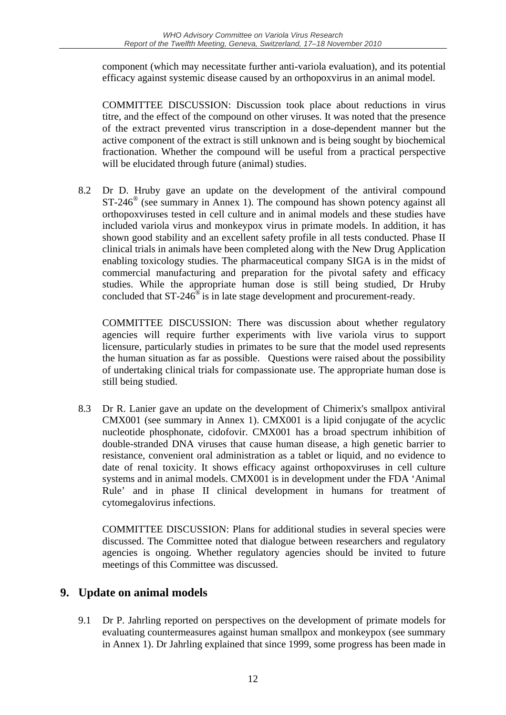component (which may necessitate further anti-variola evaluation), and its potential efficacy against systemic disease caused by an orthopoxvirus in an animal model.

 COMMITTEE DISCUSSION: Discussion took place about reductions in virus titre, and the effect of the compound on other viruses. It was noted that the presence of the extract prevented virus transcription in a dose-dependent manner but the active component of the extract is still unknown and is being sought by biochemical fractionation. Whether the compound will be useful from a practical perspective will be elucidated through future (animal) studies.

8.2 Dr D. Hruby gave an update on the development of the antiviral compound  $ST-246^\circ$  (see summary in Annex 1). The compound has shown potency against all orthopoxviruses tested in cell culture and in animal models and these studies have included variola virus and monkeypox virus in primate models. In addition, it has shown good stability and an excellent safety profile in all tests conducted. Phase II clinical trials in animals have been completed along with the New Drug Application enabling toxicology studies. The pharmaceutical company SIGA is in the midst of commercial manufacturing and preparation for the pivotal safety and efficacy studies. While the appropriate human dose is still being studied, Dr Hruby concluded that  $ST-246^\circ$  is in late stage development and procurement-ready.

 COMMITTEE DISCUSSION: There was discussion about whether regulatory agencies will require further experiments with live variola virus to support licensure, particularly studies in primates to be sure that the model used represents the human situation as far as possible. Questions were raised about the possibility of undertaking clinical trials for compassionate use. The appropriate human dose is still being studied.

8.3 Dr R. Lanier gave an update on the development of Chimerix's smallpox antiviral CMX001 (see summary in Annex 1). CMX001 is a lipid conjugate of the acyclic nucleotide phosphonate, cidofovir. CMX001 has a broad spectrum inhibition of double-stranded DNA viruses that cause human disease, a high genetic barrier to resistance, convenient oral administration as a tablet or liquid, and no evidence to date of renal toxicity. It shows efficacy against orthopoxviruses in cell culture systems and in animal models. CMX001 is in development under the FDA 'Animal Rule' and in phase II clinical development in humans for treatment of cytomegalovirus infections.

 COMMITTEE DISCUSSION: Plans for additional studies in several species were discussed. The Committee noted that dialogue between researchers and regulatory agencies is ongoing. Whether regulatory agencies should be invited to future meetings of this Committee was discussed.

## **9. Update on animal models**

9.1 Dr P. Jahrling reported on perspectives on the development of primate models for evaluating countermeasures against human smallpox and monkeypox (see summary in Annex 1). Dr Jahrling explained that since 1999, some progress has been made in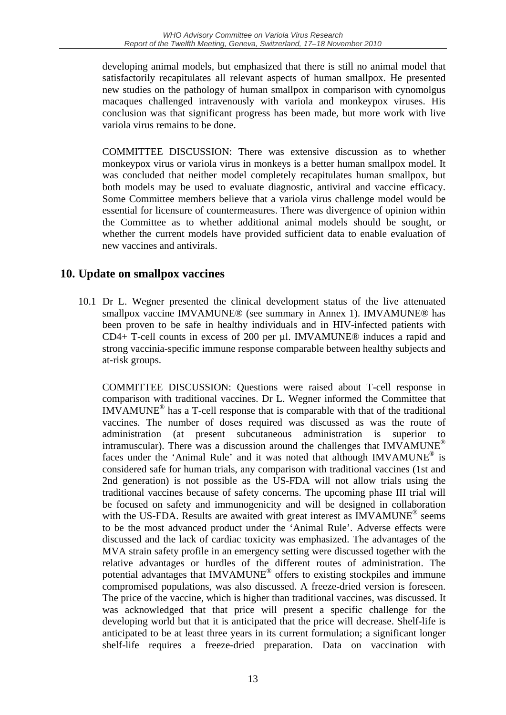developing animal models, but emphasized that there is still no animal model that satisfactorily recapitulates all relevant aspects of human smallpox. He presented new studies on the pathology of human smallpox in comparison with cynomolgus macaques challenged intravenously with variola and monkeypox viruses. His conclusion was that significant progress has been made, but more work with live variola virus remains to be done.

 COMMITTEE DISCUSSION: There was extensive discussion as to whether monkeypox virus or variola virus in monkeys is a better human smallpox model. It was concluded that neither model completely recapitulates human smallpox, but both models may be used to evaluate diagnostic, antiviral and vaccine efficacy. Some Committee members believe that a variola virus challenge model would be essential for licensure of countermeasures. There was divergence of opinion within the Committee as to whether additional animal models should be sought, or whether the current models have provided sufficient data to enable evaluation of new vaccines and antivirals.

## **10. Update on smallpox vaccines**

10.1 Dr L. Wegner presented the clinical development status of the live attenuated smallpox vaccine IMVAMUNE<sup>®</sup> (see summary in Annex 1). IMVAMUNE<sup>®</sup> has been proven to be safe in healthy individuals and in HIV-infected patients with CD4+ T-cell counts in excess of 200 per µl. IMVAMUNE® induces a rapid and strong vaccinia-specific immune response comparable between healthy subjects and at-risk groups.

COMMITTEE DISCUSSION: Questions were raised about T-cell response in comparison with traditional vaccines. Dr L. Wegner informed the Committee that  $IMVAMUNE<sup>®</sup>$  has a T-cell response that is comparable with that of the traditional vaccines. The number of doses required was discussed as was the route of administration (at present subcutaneous administration is superior to intramuscular). There was a discussion around the challenges that IMVAMUNE<sup>®</sup> faces under the 'Animal Rule' and it was noted that although IMVAMUNE<sup>®</sup> is considered safe for human trials, any comparison with traditional vaccines (1st and 2nd generation) is not possible as the US-FDA will not allow trials using the traditional vaccines because of safety concerns. The upcoming phase III trial will be focused on safety and immunogenicity and will be designed in collaboration with the US-FDA. Results are awaited with great interest as IMVAMUNE<sup>®</sup> seems to be the most advanced product under the 'Animal Rule'. Adverse effects were discussed and the lack of cardiac toxicity was emphasized. The advantages of the MVA strain safety profile in an emergency setting were discussed together with the relative advantages or hurdles of the different routes of administration. The potential advantages that IMVAMUNE® offers to existing stockpiles and immune compromised populations, was also discussed. A freeze-dried version is foreseen. The price of the vaccine, which is higher than traditional vaccines, was discussed. It was acknowledged that that price will present a specific challenge for the developing world but that it is anticipated that the price will decrease. Shelf-life is anticipated to be at least three years in its current formulation; a significant longer shelf-life requires a freeze-dried preparation. Data on vaccination with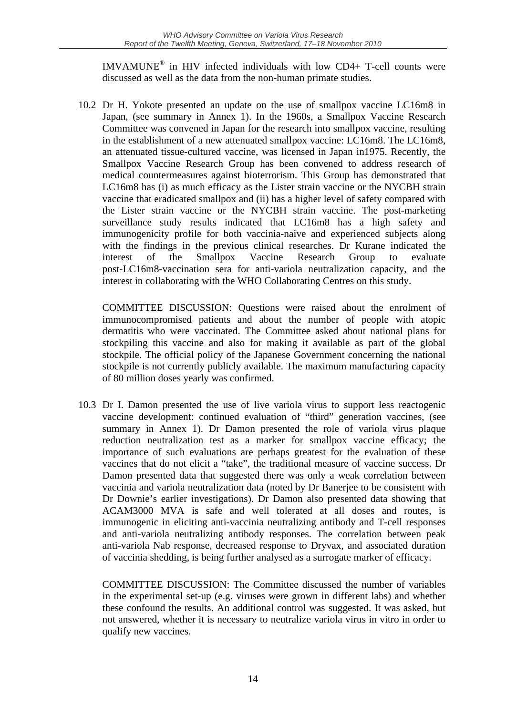IMVAMUNE® in HIV infected individuals with low CD4+ T-cell counts were discussed as well as the data from the non-human primate studies.

10.2 Dr H. Yokote presented an update on the use of smallpox vaccine LC16m8 in Japan, (see summary in Annex 1). In the 1960s, a Smallpox Vaccine Research Committee was convened in Japan for the research into smallpox vaccine, resulting in the establishment of a new attenuated smallpox vaccine: LC16m8. The LC16m8, an attenuated tissue-cultured vaccine, was licensed in Japan in1975. Recently, the Smallpox Vaccine Research Group has been convened to address research of medical countermeasures against bioterrorism. This Group has demonstrated that LC16m8 has (i) as much efficacy as the Lister strain vaccine or the NYCBH strain vaccine that eradicated smallpox and (ii) has a higher level of safety compared with the Lister strain vaccine or the NYCBH strain vaccine. The post-marketing surveillance study results indicated that LC16m8 has a high safety and immunogenicity profile for both vaccinia-naive and experienced subjects along with the findings in the previous clinical researches. Dr Kurane indicated the interest of the Smallpox Vaccine Research Group to evaluate post-LC16m8-vaccination sera for anti-variola neutralization capacity, and the interest in collaborating with the WHO Collaborating Centres on this study.

 COMMITTEE DISCUSSION: Questions were raised about the enrolment of immunocompromised patients and about the number of people with atopic dermatitis who were vaccinated. The Committee asked about national plans for stockpiling this vaccine and also for making it available as part of the global stockpile. The official policy of the Japanese Government concerning the national stockpile is not currently publicly available. The maximum manufacturing capacity of 80 million doses yearly was confirmed.

10.3 Dr I. Damon presented the use of live variola virus to support less reactogenic vaccine development: continued evaluation of "third" generation vaccines, (see summary in Annex 1). Dr Damon presented the role of variola virus plaque reduction neutralization test as a marker for smallpox vaccine efficacy; the importance of such evaluations are perhaps greatest for the evaluation of these vaccines that do not elicit a "take", the traditional measure of vaccine success. Dr Damon presented data that suggested there was only a weak correlation between vaccinia and variola neutralization data (noted by Dr Banerjee to be consistent with Dr Downie's earlier investigations). Dr Damon also presented data showing that ACAM3000 MVA is safe and well tolerated at all doses and routes, is immunogenic in eliciting anti-vaccinia neutralizing antibody and T-cell responses and anti-variola neutralizing antibody responses. The correlation between peak anti-variola Nab response, decreased response to Dryvax, and associated duration of vaccinia shedding, is being further analysed as a surrogate marker of efficacy.

 COMMITTEE DISCUSSION: The Committee discussed the number of variables in the experimental set-up (e.g. viruses were grown in different labs) and whether these confound the results. An additional control was suggested. It was asked, but not answered, whether it is necessary to neutralize variola virus in vitro in order to qualify new vaccines.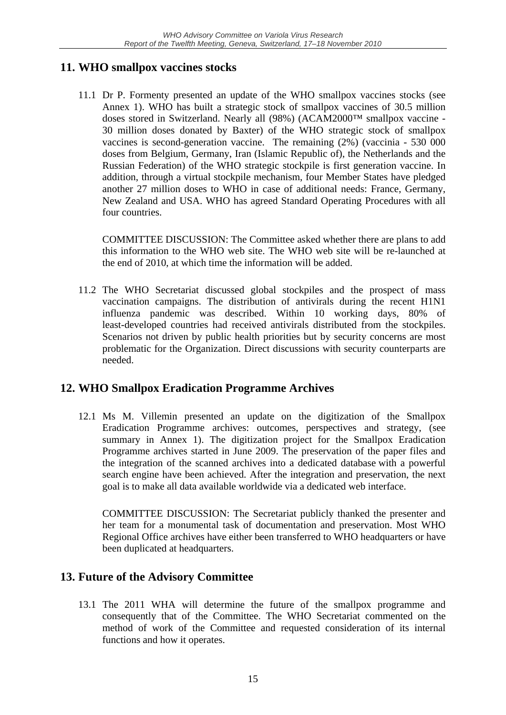## **11. WHO smallpox vaccines stocks**

11.1 Dr P. Formenty presented an update of the WHO smallpox vaccines stocks (see Annex 1). WHO has built a strategic stock of smallpox vaccines of 30.5 million doses stored in Switzerland. Nearly all (98%) (ACAM2000™ smallpox vaccine - 30 million doses donated by Baxter) of the WHO strategic stock of smallpox vaccines is second-generation vaccine. The remaining (2%) (vaccinia - 530 000 doses from Belgium, Germany, Iran (Islamic Republic of), the Netherlands and the Russian Federation) of the WHO strategic stockpile is first generation vaccine. In addition, through a virtual stockpile mechanism, four Member States have pledged another 27 million doses to WHO in case of additional needs: France, Germany, New Zealand and USA. WHO has agreed Standard Operating Procedures with all four countries.

 COMMITTEE DISCUSSION: The Committee asked whether there are plans to add this information to the WHO web site. The WHO web site will be re-launched at the end of 2010, at which time the information will be added.

11.2 The WHO Secretariat discussed global stockpiles and the prospect of mass vaccination campaigns. The distribution of antivirals during the recent H1N1 influenza pandemic was described. Within 10 working days, 80% of least-developed countries had received antivirals distributed from the stockpiles. Scenarios not driven by public health priorities but by security concerns are most problematic for the Organization. Direct discussions with security counterparts are needed.

## **12. WHO Smallpox Eradication Programme Archives**

12.1 Ms M. Villemin presented an update on the digitization of the Smallpox Eradication Programme archives: outcomes, perspectives and strategy, (see summary in Annex 1). The digitization project for the Smallpox Eradication Programme archives started in June 2009. The preservation of the paper files and the integration of the scanned archives into a dedicated database with a powerful search engine have been achieved. After the integration and preservation, the next goal is to make all data available worldwide via a dedicated web interface.

COMMITTEE DISCUSSION: The Secretariat publicly thanked the presenter and her team for a monumental task of documentation and preservation. Most WHO Regional Office archives have either been transferred to WHO headquarters or have been duplicated at headquarters.

## **13. Future of the Advisory Committee**

13.1 The 2011 WHA will determine the future of the smallpox programme and consequently that of the Committee. The WHO Secretariat commented on the method of work of the Committee and requested consideration of its internal functions and how it operates.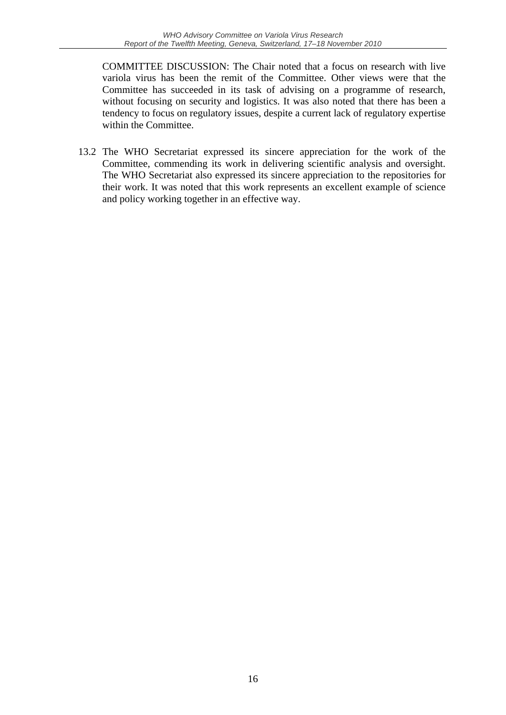COMMITTEE DISCUSSION: The Chair noted that a focus on research with live variola virus has been the remit of the Committee. Other views were that the Committee has succeeded in its task of advising on a programme of research, without focusing on security and logistics. It was also noted that there has been a tendency to focus on regulatory issues, despite a current lack of regulatory expertise within the Committee.

13.2 The WHO Secretariat expressed its sincere appreciation for the work of the Committee, commending its work in delivering scientific analysis and oversight. The WHO Secretariat also expressed its sincere appreciation to the repositories for their work. It was noted that this work represents an excellent example of science and policy working together in an effective way.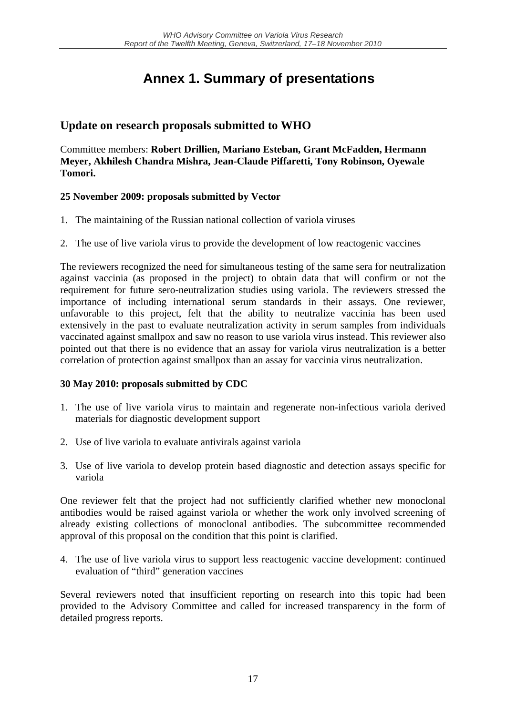## **Annex 1. Summary of presentations**

## **Update on research proposals submitted to WHO**

Committee members: **Robert Drillien, Mariano Esteban, Grant McFadden, Hermann Meyer, Akhilesh Chandra Mishra, Jean-Claude Piffaretti, Tony Robinson, Oyewale Tomori.**

#### **25 November 2009: proposals submitted by Vector**

- 1. The maintaining of the Russian national collection of variola viruses
- 2. The use of live variola virus to provide the development of low reactogenic vaccines

The reviewers recognized the need for simultaneous testing of the same sera for neutralization against vaccinia (as proposed in the project) to obtain data that will confirm or not the requirement for future sero-neutralization studies using variola. The reviewers stressed the importance of including international serum standards in their assays. One reviewer, unfavorable to this project, felt that the ability to neutralize vaccinia has been used extensively in the past to evaluate neutralization activity in serum samples from individuals vaccinated against smallpox and saw no reason to use variola virus instead. This reviewer also pointed out that there is no evidence that an assay for variola virus neutralization is a better correlation of protection against smallpox than an assay for vaccinia virus neutralization.

#### **30 May 2010: proposals submitted by CDC**

- 1. The use of live variola virus to maintain and regenerate non-infectious variola derived materials for diagnostic development support
- 2. Use of live variola to evaluate antivirals against variola
- 3. Use of live variola to develop protein based diagnostic and detection assays specific for variola

One reviewer felt that the project had not sufficiently clarified whether new monoclonal antibodies would be raised against variola or whether the work only involved screening of already existing collections of monoclonal antibodies. The subcommittee recommended approval of this proposal on the condition that this point is clarified.

4. The use of live variola virus to support less reactogenic vaccine development: continued evaluation of "third" generation vaccines

Several reviewers noted that insufficient reporting on research into this topic had been provided to the Advisory Committee and called for increased transparency in the form of detailed progress reports.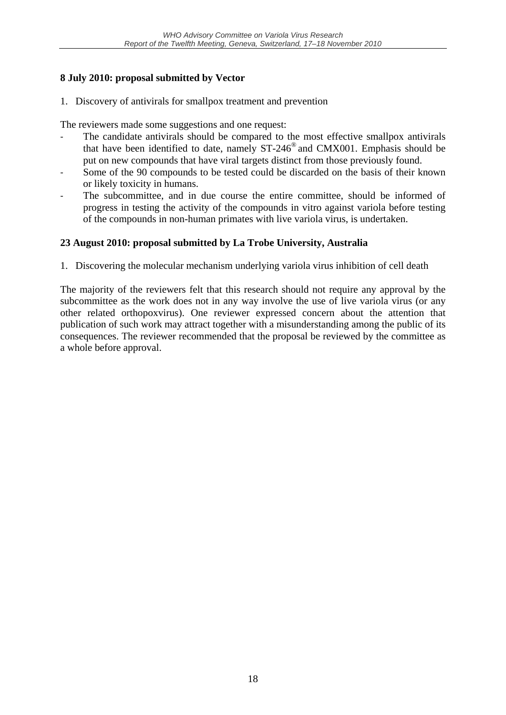### **8 July 2010: proposal submitted by Vector**

1. Discovery of antivirals for smallpox treatment and prevention

The reviewers made some suggestions and one request:

- The candidate antivirals should be compared to the most effective smallpox antivirals that have been identified to date, namely ST-246® and CMX001. Emphasis should be put on new compounds that have viral targets distinct from those previously found.
- Some of the 90 compounds to be tested could be discarded on the basis of their known or likely toxicity in humans.
- The subcommittee, and in due course the entire committee, should be informed of progress in testing the activity of the compounds in vitro against variola before testing of the compounds in non-human primates with live variola virus, is undertaken.

### **23 August 2010: proposal submitted by La Trobe University, Australia**

1. Discovering the molecular mechanism underlying variola virus inhibition of cell death

The majority of the reviewers felt that this research should not require any approval by the subcommittee as the work does not in any way involve the use of live variola virus (or any other related orthopoxvirus). One reviewer expressed concern about the attention that publication of such work may attract together with a misunderstanding among the public of its consequences. The reviewer recommended that the proposal be reviewed by the committee as a whole before approval.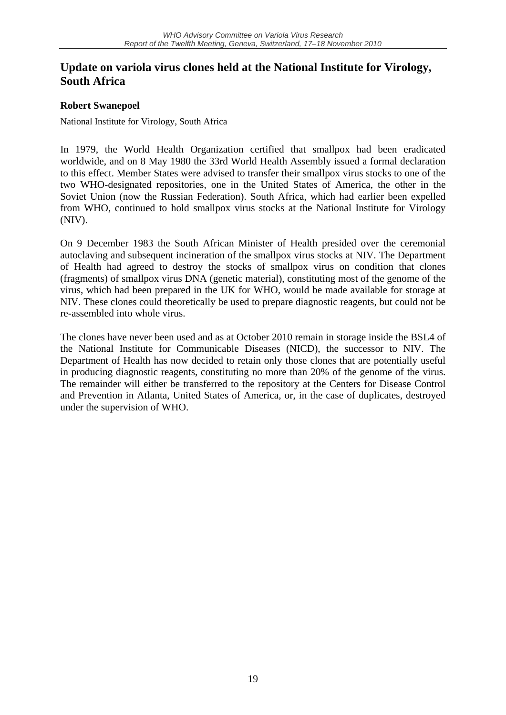## **Update on variola virus clones held at the National Institute for Virology, South Africa**

#### **Robert Swanepoel**

National Institute for Virology, South Africa

In 1979, the World Health Organization certified that smallpox had been eradicated worldwide, and on 8 May 1980 the 33rd World Health Assembly issued a formal declaration to this effect. Member States were advised to transfer their smallpox virus stocks to one of the two WHO-designated repositories, one in the United States of America, the other in the Soviet Union (now the Russian Federation). South Africa, which had earlier been expelled from WHO, continued to hold smallpox virus stocks at the National Institute for Virology (NIV).

On 9 December 1983 the South African Minister of Health presided over the ceremonial autoclaving and subsequent incineration of the smallpox virus stocks at NIV. The Department of Health had agreed to destroy the stocks of smallpox virus on condition that clones (fragments) of smallpox virus DNA (genetic material), constituting most of the genome of the virus, which had been prepared in the UK for WHO, would be made available for storage at NIV. These clones could theoretically be used to prepare diagnostic reagents, but could not be re-assembled into whole virus.

The clones have never been used and as at October 2010 remain in storage inside the BSL4 of the National Institute for Communicable Diseases (NICD), the successor to NIV. The Department of Health has now decided to retain only those clones that are potentially useful in producing diagnostic reagents, constituting no more than 20% of the genome of the virus. The remainder will either be transferred to the repository at the Centers for Disease Control and Prevention in Atlanta, United States of America, or, in the case of duplicates, destroyed under the supervision of WHO.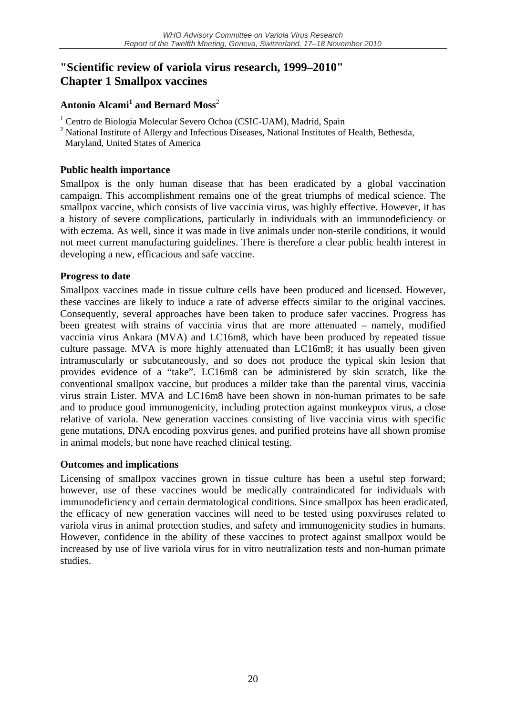## **"Scientific review of variola virus research, 1999–2010" Chapter 1 Smallpox vaccines**

#### **Antonio Alcami<sup>1</sup> and Bernard Moss**<sup>2</sup>

- <sup>1</sup> Centro de Biologia Molecular Severo Ochoa (CSIC-UAM), Madrid, Spain
- <sup>2</sup> National Institute of Allergy and Infectious Diseases, National Institutes of Health, Bethesda,
- Maryland, United States of America

#### **Public health importance**

Smallpox is the only human disease that has been eradicated by a global vaccination campaign. This accomplishment remains one of the great triumphs of medical science. The smallpox vaccine, which consists of live vaccinia virus, was highly effective. However, it has a history of severe complications, particularly in individuals with an immunodeficiency or with eczema. As well, since it was made in live animals under non-sterile conditions, it would not meet current manufacturing guidelines. There is therefore a clear public health interest in developing a new, efficacious and safe vaccine.

#### **Progress to date**

Smallpox vaccines made in tissue culture cells have been produced and licensed. However, these vaccines are likely to induce a rate of adverse effects similar to the original vaccines. Consequently, several approaches have been taken to produce safer vaccines. Progress has been greatest with strains of vaccinia virus that are more attenuated – namely, modified vaccinia virus Ankara (MVA) and LC16m8, which have been produced by repeated tissue culture passage. MVA is more highly attenuated than LC16m8; it has usually been given intramuscularly or subcutaneously, and so does not produce the typical skin lesion that provides evidence of a "take". LC16m8 can be administered by skin scratch, like the conventional smallpox vaccine, but produces a milder take than the parental virus, vaccinia virus strain Lister. MVA and LC16m8 have been shown in non-human primates to be safe and to produce good immunogenicity, including protection against monkeypox virus, a close relative of variola. New generation vaccines consisting of live vaccinia virus with specific gene mutations, DNA encoding poxvirus genes, and purified proteins have all shown promise in animal models, but none have reached clinical testing.

#### **Outcomes and implications**

Licensing of smallpox vaccines grown in tissue culture has been a useful step forward; however, use of these vaccines would be medically contraindicated for individuals with immunodeficiency and certain dermatological conditions. Since smallpox has been eradicated, the efficacy of new generation vaccines will need to be tested using poxviruses related to variola virus in animal protection studies, and safety and immunogenicity studies in humans. However, confidence in the ability of these vaccines to protect against smallpox would be increased by use of live variola virus for in vitro neutralization tests and non-human primate studies.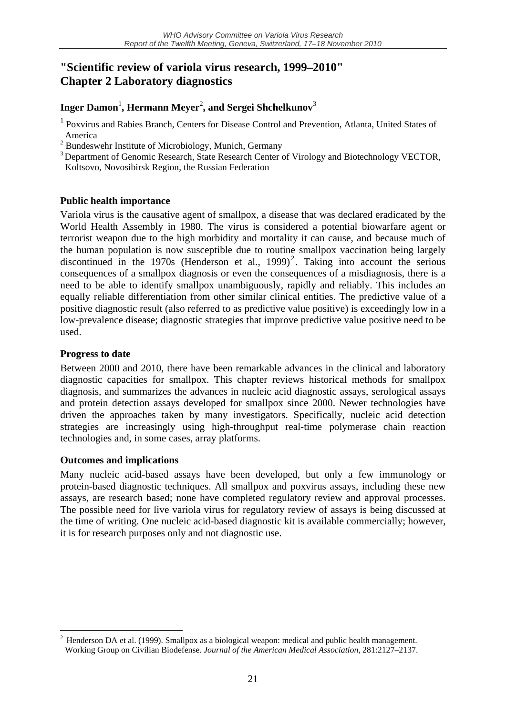## **"Scientific review of variola virus research, 1999–2010" Chapter 2 Laboratory diagnostics**

### **Inger Damon**<sup>1</sup> **, Hermann Meyer**<sup>2</sup> **, and Sergei Shchelkunov**<sup>3</sup>

<sup>1</sup> Poxvirus and Rabies Branch, Centers for Disease Control and Prevention, Atlanta, United States of America

<sup>2</sup> Bundeswehr Institute of Microbiology, Munich, Germany

<sup>3</sup> Department of Genomic Research, State Research Center of Virology and Biotechnology VECTOR, Koltsovo, Novosibirsk Region, the Russian Federation

#### **Public health importance**

Variola virus is the causative agent of smallpox, a disease that was declared eradicated by the World Health Assembly in 1980. The virus is considered a potential biowarfare agent or terrorist weapon due to the high morbidity and mortality it can cause, and because much of the human population is now susceptible due to routine smallpox vaccination being largely discontinued in the 1970s (Henderson et al., 1999)<sup>2</sup>. Taking into account the serious consequences of a smallpox diagnosis or even the consequences of a misdiagnosis, there is a need to be able to identify smallpox unambiguously, rapidly and reliably. This includes an equally reliable differentiation from other similar clinical entities. The predictive value of a positive diagnostic result (also referred to as predictive value positive) is exceedingly low in a low-prevalence disease; diagnostic strategies that improve predictive value positive need to be used.

#### **Progress to date**

1

Between 2000 and 2010, there have been remarkable advances in the clinical and laboratory diagnostic capacities for smallpox. This chapter reviews historical methods for smallpox diagnosis, and summarizes the advances in nucleic acid diagnostic assays, serological assays and protein detection assays developed for smallpox since 2000. Newer technologies have driven the approaches taken by many investigators. Specifically, nucleic acid detection strategies are increasingly using high-throughput real-time polymerase chain reaction technologies and, in some cases, array platforms.

#### **Outcomes and implications**

Many nucleic acid-based assays have been developed, but only a few immunology or protein-based diagnostic techniques. All smallpox and poxvirus assays, including these new assays, are research based; none have completed regulatory review and approval processes. The possible need for live variola virus for regulatory review of assays is being discussed at the time of writing. One nucleic acid-based diagnostic kit is available commercially; however, it is for research purposes only and not diagnostic use.

<sup>2</sup> Henderson DA et al. (1999). Smallpox as a biological weapon: medical and public health management. Working Group on Civilian Biodefense. *Journal of the American Medical Association*, 281:2127–2137.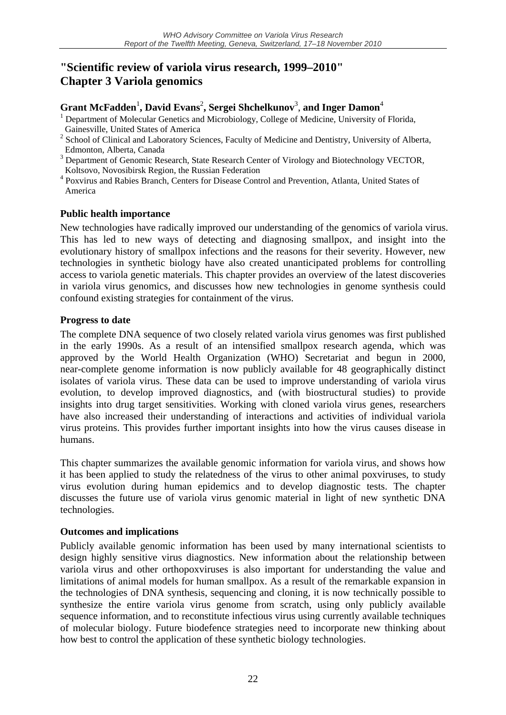## **"Scientific review of variola virus research, 1999–2010" Chapter 3 Variola genomics**

#### $G$ rant McFadden<sup>1</sup>, David Evans<sup>2</sup>, Sergei Shchelkunov<sup>3</sup>, and Inger Damon<sup>4</sup>

- <sup>1</sup> Department of Molecular Genetics and Microbiology, College of Medicine, University of Florida,
- Gainesville, United States of America 2 School of Clinical and Laboratory Sciences, Faculty of Medicine and Dentistry, University of Alberta, Edmonton, Alberta, Canada
- <sup>3</sup> Department of Genomic Research, State Research Center of Virology and Biotechnology VECTOR, Koltsovo, Novosibirsk Region, the Russian Federation
- 4 Poxvirus and Rabies Branch, Centers for Disease Control and Prevention, Atlanta, United States of America

#### **Public health importance**

New technologies have radically improved our understanding of the genomics of variola virus. This has led to new ways of detecting and diagnosing smallpox, and insight into the evolutionary history of smallpox infections and the reasons for their severity. However, new technologies in synthetic biology have also created unanticipated problems for controlling access to variola genetic materials. This chapter provides an overview of the latest discoveries in variola virus genomics, and discusses how new technologies in genome synthesis could confound existing strategies for containment of the virus.

#### **Progress to date**

The complete DNA sequence of two closely related variola virus genomes was first published in the early 1990s. As a result of an intensified smallpox research agenda, which was approved by the World Health Organization (WHO) Secretariat and begun in 2000, near-complete genome information is now publicly available for 48 geographically distinct isolates of variola virus. These data can be used to improve understanding of variola virus evolution, to develop improved diagnostics, and (with biostructural studies) to provide insights into drug target sensitivities. Working with cloned variola virus genes, researchers have also increased their understanding of interactions and activities of individual variola virus proteins. This provides further important insights into how the virus causes disease in humans.

This chapter summarizes the available genomic information for variola virus, and shows how it has been applied to study the relatedness of the virus to other animal poxviruses, to study virus evolution during human epidemics and to develop diagnostic tests. The chapter discusses the future use of variola virus genomic material in light of new synthetic DNA technologies.

#### **Outcomes and implications**

Publicly available genomic information has been used by many international scientists to design highly sensitive virus diagnostics. New information about the relationship between variola virus and other orthopoxviruses is also important for understanding the value and limitations of animal models for human smallpox. As a result of the remarkable expansion in the technologies of DNA synthesis, sequencing and cloning, it is now technically possible to synthesize the entire variola virus genome from scratch, using only publicly available sequence information, and to reconstitute infectious virus using currently available techniques of molecular biology. Future biodefence strategies need to incorporate new thinking about how best to control the application of these synthetic biology technologies.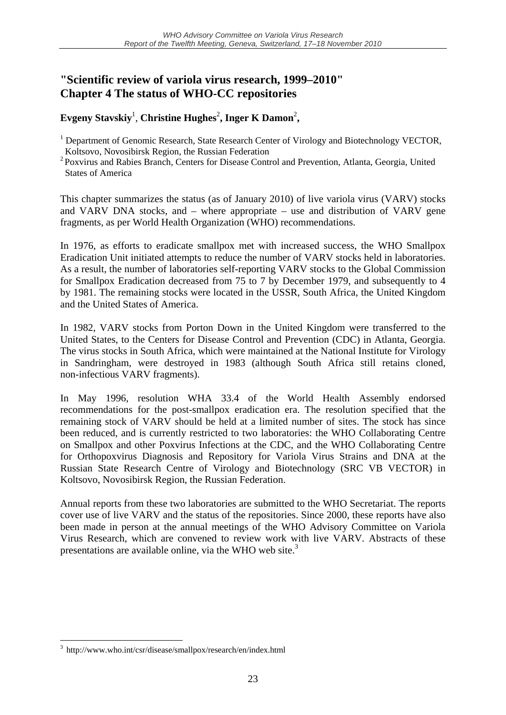## **"Scientific review of variola virus research, 1999–2010" Chapter 4 The status of WHO-CC repositories**

### Evgeny Stavskiy<sup>1</sup>, Christine Hughes<sup>2</sup>, Inger K Damon<sup>2</sup>,

This chapter summarizes the status (as of January 2010) of live variola virus (VARV) stocks and VARV DNA stocks, and – where appropriate – use and distribution of VARV gene fragments, as per World Health Organization (WHO) recommendations.

In 1976, as efforts to eradicate smallpox met with increased success, the WHO Smallpox Eradication Unit initiated attempts to reduce the number of VARV stocks held in laboratories. As a result, the number of laboratories self-reporting VARV stocks to the Global Commission for Smallpox Eradication decreased from 75 to 7 by December 1979, and subsequently to 4 by 1981. The remaining stocks were located in the USSR, South Africa, the United Kingdom and the United States of America.

In 1982, VARV stocks from Porton Down in the United Kingdom were transferred to the United States, to the Centers for Disease Control and Prevention (CDC) in Atlanta, Georgia. The virus stocks in South Africa, which were maintained at the National Institute for Virology in Sandringham, were destroyed in 1983 (although South Africa still retains cloned, non-infectious VARV fragments).

In May 1996, resolution WHA 33.4 of the World Health Assembly endorsed recommendations for the post-smallpox eradication era. The resolution specified that the remaining stock of VARV should be held at a limited number of sites. The stock has since been reduced, and is currently restricted to two laboratories: the WHO Collaborating Centre on Smallpox and other Poxvirus Infections at the CDC, and the WHO Collaborating Centre for Orthopoxvirus Diagnosis and Repository for Variola Virus Strains and DNA at the Russian State Research Centre of Virology and Biotechnology (SRC VB VECTOR) in Koltsovo, Novosibirsk Region, the Russian Federation.

Annual reports from these two laboratories are submitted to the WHO Secretariat. The reports cover use of live VARV and the status of the repositories. Since 2000, these reports have also been made in person at the annual meetings of the WHO Advisory Committee on Variola Virus Research, which are convened to review work with live VARV. Abstracts of these presentations are available online, via the WHO web site. $3$ 

<u>.</u>

<sup>&</sup>lt;sup>1</sup> Department of Genomic Research, State Research Center of Virology and Biotechnology VECTOR, Koltsovo, Novosibirsk Region, the Russian Federation

<sup>2</sup> Poxvirus and Rabies Branch, Centers for Disease Control and Prevention, Atlanta, Georgia, United States of America

<sup>3</sup> http://www.who.int/csr/disease/smallpox/research/en/index.html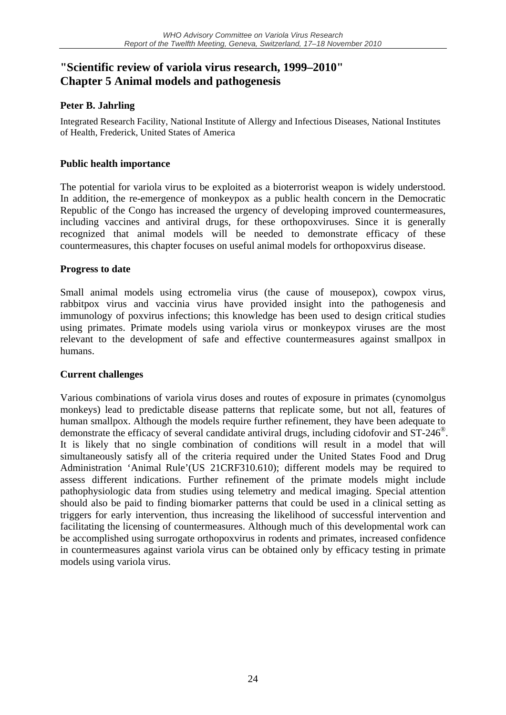## **"Scientific review of variola virus research, 1999–2010" Chapter 5 Animal models and pathogenesis**

#### **Peter B. Jahrling**

Integrated Research Facility, National Institute of Allergy and Infectious Diseases, National Institutes of Health, Frederick, United States of America

#### **Public health importance**

The potential for variola virus to be exploited as a bioterrorist weapon is widely understood. In addition, the re-emergence of monkeypox as a public health concern in the Democratic Republic of the Congo has increased the urgency of developing improved countermeasures, including vaccines and antiviral drugs, for these orthopoxviruses. Since it is generally recognized that animal models will be needed to demonstrate efficacy of these countermeasures, this chapter focuses on useful animal models for orthopoxvirus disease.

#### **Progress to date**

Small animal models using ectromelia virus (the cause of mousepox), cowpox virus, rabbitpox virus and vaccinia virus have provided insight into the pathogenesis and immunology of poxvirus infections; this knowledge has been used to design critical studies using primates. Primate models using variola virus or monkeypox viruses are the most relevant to the development of safe and effective countermeasures against smallpox in humans.

#### **Current challenges**

Various combinations of variola virus doses and routes of exposure in primates (cynomolgus monkeys) lead to predictable disease patterns that replicate some, but not all, features of human smallpox. Although the models require further refinement, they have been adequate to demonstrate the efficacy of several candidate antiviral drugs, including cidofovir and ST-246®. It is likely that no single combination of conditions will result in a model that will simultaneously satisfy all of the criteria required under the United States Food and Drug Administration 'Animal Rule'(US 21CRF310.610); different models may be required to assess different indications. Further refinement of the primate models might include pathophysiologic data from studies using telemetry and medical imaging. Special attention should also be paid to finding biomarker patterns that could be used in a clinical setting as triggers for early intervention, thus increasing the likelihood of successful intervention and facilitating the licensing of countermeasures. Although much of this developmental work can be accomplished using surrogate orthopoxvirus in rodents and primates, increased confidence in countermeasures against variola virus can be obtained only by efficacy testing in primate models using variola virus.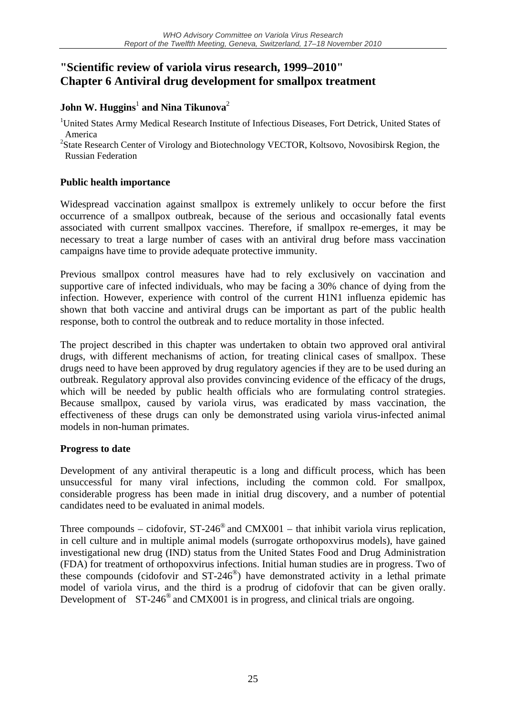## **"Scientific review of variola virus research, 1999–2010" Chapter 6 Antiviral drug development for smallpox treatment**

### $\mathbf{John}\ \mathbf{W.}\ \mathbf{Huggins}^{1}$  and  $\mathbf{Nina}\ \mathbf{Tikunova}^{2}$

<sup>1</sup>United States Army Medical Research Institute of Infectious Diseases, Fort Detrick, United States of America

<sup>2</sup>State Research Center of Virology and Biotechnology VECTOR, Koltsovo, Novosibirsk Region, the Russian Federation

#### **Public health importance**

Widespread vaccination against smallpox is extremely unlikely to occur before the first occurrence of a smallpox outbreak, because of the serious and occasionally fatal events associated with current smallpox vaccines. Therefore, if smallpox re-emerges, it may be necessary to treat a large number of cases with an antiviral drug before mass vaccination campaigns have time to provide adequate protective immunity.

Previous smallpox control measures have had to rely exclusively on vaccination and supportive care of infected individuals, who may be facing a 30% chance of dying from the infection. However, experience with control of the current H1N1 influenza epidemic has shown that both vaccine and antiviral drugs can be important as part of the public health response, both to control the outbreak and to reduce mortality in those infected.

The project described in this chapter was undertaken to obtain two approved oral antiviral drugs, with different mechanisms of action, for treating clinical cases of smallpox. These drugs need to have been approved by drug regulatory agencies if they are to be used during an outbreak. Regulatory approval also provides convincing evidence of the efficacy of the drugs, which will be needed by public health officials who are formulating control strategies. Because smallpox, caused by variola virus, was eradicated by mass vaccination, the effectiveness of these drugs can only be demonstrated using variola virus-infected animal models in non-human primates.

#### **Progress to date**

Development of any antiviral therapeutic is a long and difficult process, which has been unsuccessful for many viral infections, including the common cold. For smallpox, considerable progress has been made in initial drug discovery, and a number of potential candidates need to be evaluated in animal models.

Three compounds – cidofovir,  $ST-246^\circ$  and  $CMX001$  – that inhibit variola virus replication, in cell culture and in multiple animal models (surrogate orthopoxvirus models), have gained investigational new drug (IND) status from the United States Food and Drug Administration (FDA) for treatment of orthopoxvirus infections. Initial human studies are in progress. Two of these compounds (cidofovir and  $ST-246^\circ$ ) have demonstrated activity in a lethal primate model of variola virus, and the third is a prodrug of cidofovir that can be given orally. Development of  $ST-246^\circ$  and CMX001 is in progress, and clinical trials are ongoing.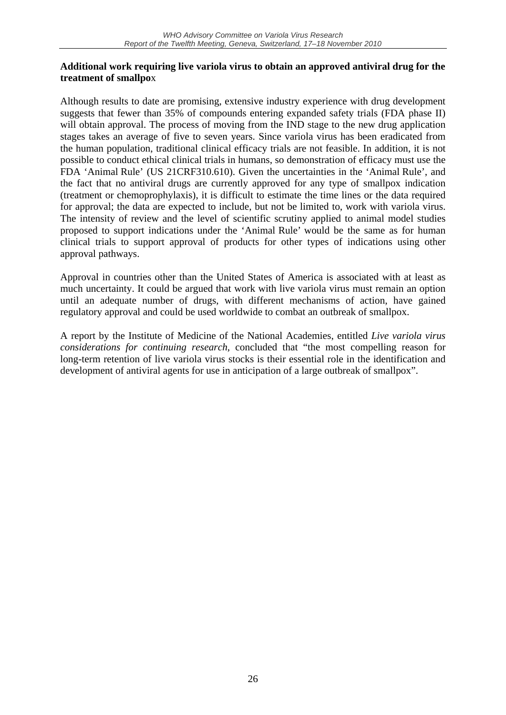#### **Additional work requiring live variola virus to obtain an approved antiviral drug for the treatment of smallpo**x

Although results to date are promising, extensive industry experience with drug development suggests that fewer than 35% of compounds entering expanded safety trials (FDA phase II) will obtain approval. The process of moving from the IND stage to the new drug application stages takes an average of five to seven years. Since variola virus has been eradicated from the human population, traditional clinical efficacy trials are not feasible. In addition, it is not possible to conduct ethical clinical trials in humans, so demonstration of efficacy must use the FDA 'Animal Rule' (US 21CRF310.610). Given the uncertainties in the 'Animal Rule', and the fact that no antiviral drugs are currently approved for any type of smallpox indication (treatment or chemoprophylaxis), it is difficult to estimate the time lines or the data required for approval; the data are expected to include, but not be limited to, work with variola virus. The intensity of review and the level of scientific scrutiny applied to animal model studies proposed to support indications under the 'Animal Rule' would be the same as for human clinical trials to support approval of products for other types of indications using other approval pathways.

Approval in countries other than the United States of America is associated with at least as much uncertainty. It could be argued that work with live variola virus must remain an option until an adequate number of drugs, with different mechanisms of action, have gained regulatory approval and could be used worldwide to combat an outbreak of smallpox.

A report by the Institute of Medicine of the National Academies, entitled *Live variola virus considerations for continuing research*, concluded that "the most compelling reason for long-term retention of live variola virus stocks is their essential role in the identification and development of antiviral agents for use in anticipation of a large outbreak of smallpox".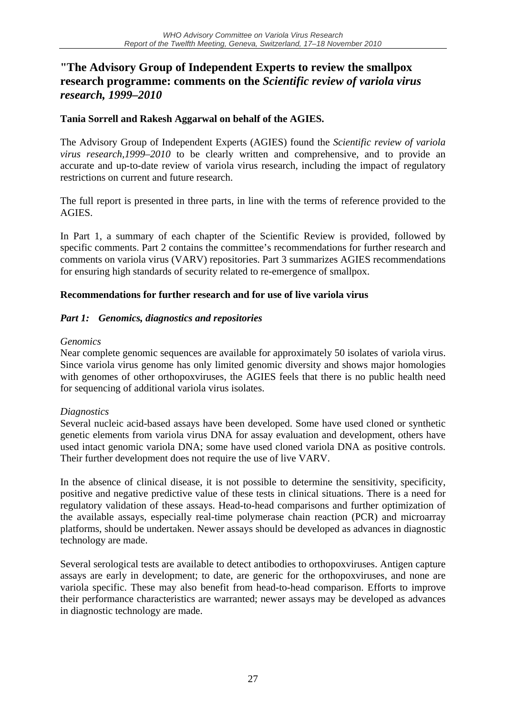## **"The Advisory Group of Independent Experts to review the smallpox research programme: comments on the** *Scientific review of variola virus research, 1999–2010*

#### **Tania Sorrell and Rakesh Aggarwal on behalf of the AGIES.**

The Advisory Group of Independent Experts (AGIES) found the *Scientific review of variola virus research,1999–2010* to be clearly written and comprehensive, and to provide an accurate and up-to-date review of variola virus research, including the impact of regulatory restrictions on current and future research.

The full report is presented in three parts, in line with the terms of reference provided to the **AGIES** 

In Part 1, a summary of each chapter of the Scientific Review is provided, followed by specific comments. Part 2 contains the committee's recommendations for further research and comments on variola virus (VARV) repositories. Part 3 summarizes AGIES recommendations for ensuring high standards of security related to re-emergence of smallpox.

#### **Recommendations for further research and for use of live variola virus**

#### *Part 1: Genomics, diagnostics and repositories*

#### *Genomics*

Near complete genomic sequences are available for approximately 50 isolates of variola virus. Since variola virus genome has only limited genomic diversity and shows major homologies with genomes of other orthopoxviruses, the AGIES feels that there is no public health need for sequencing of additional variola virus isolates.

#### *Diagnostics*

Several nucleic acid-based assays have been developed. Some have used cloned or synthetic genetic elements from variola virus DNA for assay evaluation and development, others have used intact genomic variola DNA; some have used cloned variola DNA as positive controls. Their further development does not require the use of live VARV.

In the absence of clinical disease, it is not possible to determine the sensitivity, specificity, positive and negative predictive value of these tests in clinical situations. There is a need for regulatory validation of these assays. Head-to-head comparisons and further optimization of the available assays, especially real-time polymerase chain reaction (PCR) and microarray platforms, should be undertaken. Newer assays should be developed as advances in diagnostic technology are made.

Several serological tests are available to detect antibodies to orthopoxviruses. Antigen capture assays are early in development; to date, are generic for the orthopoxviruses, and none are variola specific. These may also benefit from head-to-head comparison. Efforts to improve their performance characteristics are warranted; newer assays may be developed as advances in diagnostic technology are made.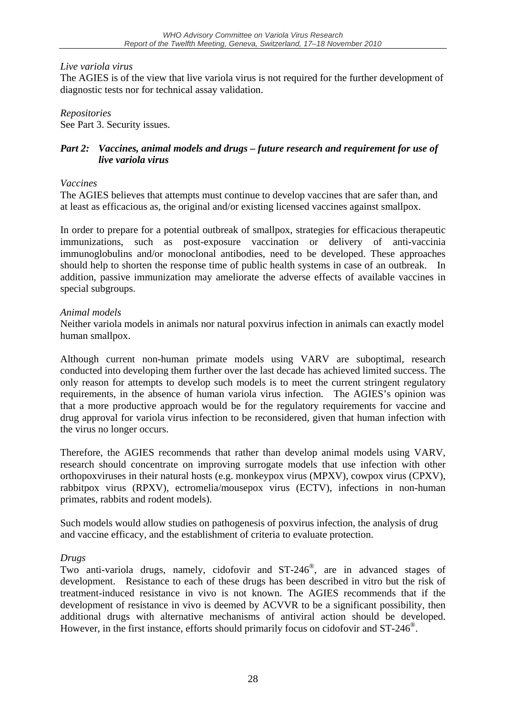#### *Live variola virus*

The AGIES is of the view that live variola virus is not required for the further development of diagnostic tests nor for technical assay validation.

*Repositories*  See Part 3. Security issues.

#### *Part 2: Vaccines, animal models and drugs – future research and requirement for use of live variola virus*

#### *Vaccines*

The AGIES believes that attempts must continue to develop vaccines that are safer than, and at least as efficacious as, the original and/or existing licensed vaccines against smallpox.

In order to prepare for a potential outbreak of smallpox, strategies for efficacious therapeutic immunizations, such as post-exposure vaccination or delivery of anti-vaccinia immunoglobulins and/or monoclonal antibodies, need to be developed. These approaches should help to shorten the response time of public health systems in case of an outbreak. In addition, passive immunization may ameliorate the adverse effects of available vaccines in special subgroups.

#### *Animal models*

Neither variola models in animals nor natural poxvirus infection in animals can exactly model human smallpox.

Although current non-human primate models using VARV are suboptimal, research conducted into developing them further over the last decade has achieved limited success. The only reason for attempts to develop such models is to meet the current stringent regulatory requirements, in the absence of human variola virus infection. The AGIES's opinion was that a more productive approach would be for the regulatory requirements for vaccine and drug approval for variola virus infection to be reconsidered, given that human infection with the virus no longer occurs.

Therefore, the AGIES recommends that rather than develop animal models using VARV, research should concentrate on improving surrogate models that use infection with other orthopoxviruses in their natural hosts (e.g. monkeypox virus (MPXV), cowpox virus (CPXV), rabbitpox virus (RPXV), ectromelia/mousepox virus (ECTV), infections in non-human primates, rabbits and rodent models).

Such models would allow studies on pathogenesis of poxvirus infection, the analysis of drug and vaccine efficacy, and the establishment of criteria to evaluate protection.

#### *Drugs*

Two anti-variola drugs, namely, cidofovir and ST-246®, are in advanced stages of development. Resistance to each of these drugs has been described in vitro but the risk of treatment-induced resistance in vivo is not known. The AGIES recommends that if the development of resistance in vivo is deemed by ACVVR to be a significant possibility, then additional drugs with alternative mechanisms of antiviral action should be developed. However, in the first instance, efforts should primarily focus on cidofovir and ST-246<sup>®</sup>.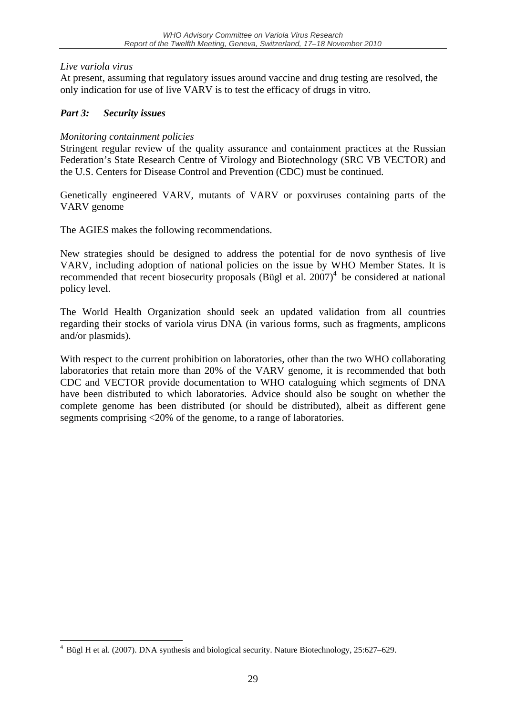#### *Live variola virus*

<u>.</u>

At present, assuming that regulatory issues around vaccine and drug testing are resolved, the only indication for use of live VARV is to test the efficacy of drugs in vitro.

#### *Part 3: Security issues*

#### *Monitoring containment policies*

Stringent regular review of the quality assurance and containment practices at the Russian Federation's State Research Centre of Virology and Biotechnology (SRC VB VECTOR) and the U.S. Centers for Disease Control and Prevention (CDC) must be continued.

Genetically engineered VARV, mutants of VARV or poxviruses containing parts of the VARV genome

The AGIES makes the following recommendations.

New strategies should be designed to address the potential for de novo synthesis of live VARV, including adoption of national policies on the issue by WHO Member States. It is recommended that recent biosecurity proposals (Bügl et al.  $2007$ )<sup>4</sup> be considered at national policy level.

The World Health Organization should seek an updated validation from all countries regarding their stocks of variola virus DNA (in various forms, such as fragments, amplicons and/or plasmids).

With respect to the current prohibition on laboratories, other than the two WHO collaborating laboratories that retain more than 20% of the VARV genome, it is recommended that both CDC and VECTOR provide documentation to WHO cataloguing which segments of DNA have been distributed to which laboratories. Advice should also be sought on whether the complete genome has been distributed (or should be distributed), albeit as different gene segments comprising <20% of the genome, to a range of laboratories.

<sup>&</sup>lt;sup>4</sup> Bügl H et al. (2007). DNA synthesis and biological security. Nature Biotechnology, 25:627–629.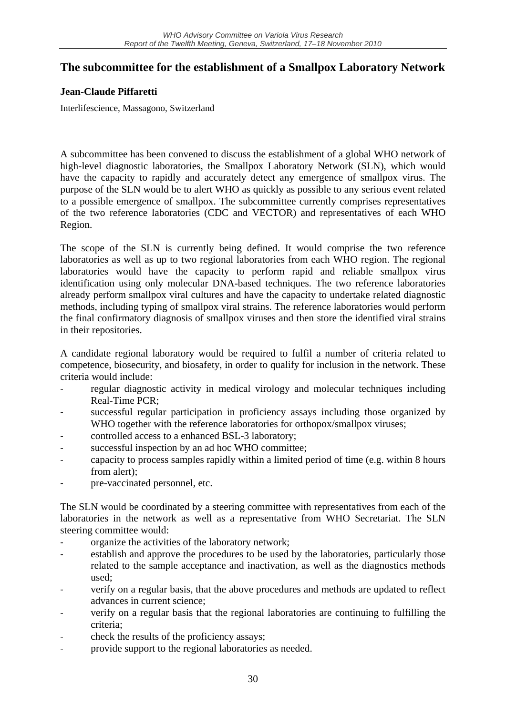## **The subcommittee for the establishment of a Smallpox Laboratory Network**

#### **Jean-Claude Piffaretti**

Interlifescience, Massagono, Switzerland

A subcommittee has been convened to discuss the establishment of a global WHO network of high-level diagnostic laboratories, the Smallpox Laboratory Network (SLN), which would have the capacity to rapidly and accurately detect any emergence of smallpox virus. The purpose of the SLN would be to alert WHO as quickly as possible to any serious event related to a possible emergence of smallpox. The subcommittee currently comprises representatives of the two reference laboratories (CDC and VECTOR) and representatives of each WHO Region.

The scope of the SLN is currently being defined. It would comprise the two reference laboratories as well as up to two regional laboratories from each WHO region. The regional laboratories would have the capacity to perform rapid and reliable smallpox virus identification using only molecular DNA-based techniques. The two reference laboratories already perform smallpox viral cultures and have the capacity to undertake related diagnostic methods, including typing of smallpox viral strains. The reference laboratories would perform the final confirmatory diagnosis of smallpox viruses and then store the identified viral strains in their repositories.

A candidate regional laboratory would be required to fulfil a number of criteria related to competence, biosecurity, and biosafety, in order to qualify for inclusion in the network. These criteria would include:

- ‐ regular diagnostic activity in medical virology and molecular techniques including Real-Time PCR;
- successful regular participation in proficiency assays including those organized by WHO together with the reference laboratories for orthopox/smallpox viruses;
- controlled access to a enhanced BSL-3 laboratory;
- successful inspection by an ad hoc WHO committee;
- ‐ capacity to process samples rapidly within a limited period of time (e.g. within 8 hours from alert);
- ‐ pre-vaccinated personnel, etc.

The SLN would be coordinated by a steering committee with representatives from each of the laboratories in the network as well as a representative from WHO Secretariat. The SLN steering committee would:

- organize the activities of the laboratory network;
- establish and approve the procedures to be used by the laboratories, particularly those related to the sample acceptance and inactivation, as well as the diagnostics methods used;
- verify on a regular basis, that the above procedures and methods are updated to reflect advances in current science;
- ‐ verify on a regular basis that the regional laboratories are continuing to fulfilling the criteria;
- ‐ check the results of the proficiency assays;
- ‐ provide support to the regional laboratories as needed.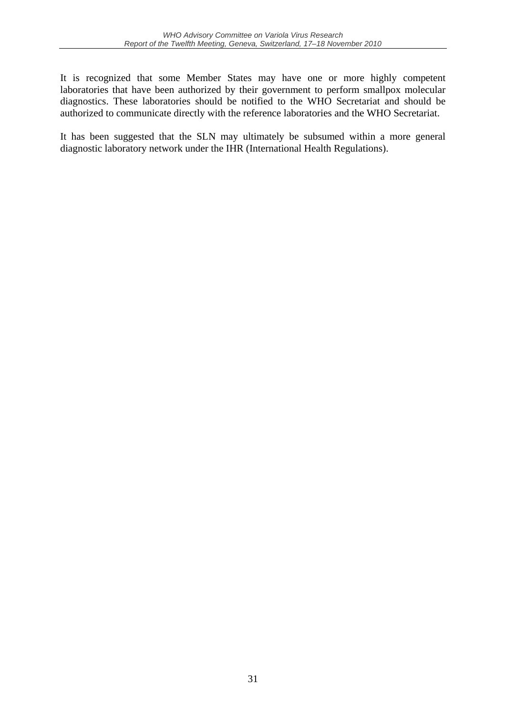It is recognized that some Member States may have one or more highly competent laboratories that have been authorized by their government to perform smallpox molecular diagnostics. These laboratories should be notified to the WHO Secretariat and should be authorized to communicate directly with the reference laboratories and the WHO Secretariat.

It has been suggested that the SLN may ultimately be subsumed within a more general diagnostic laboratory network under the IHR (International Health Regulations).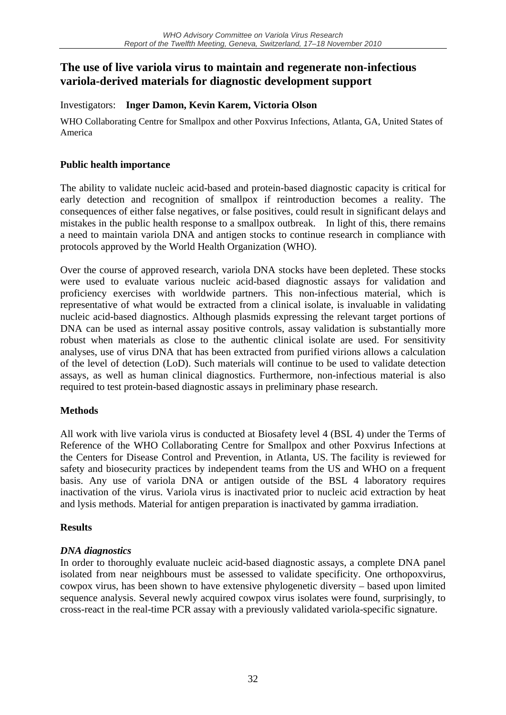## **The use of live variola virus to maintain and regenerate non-infectious variola-derived materials for diagnostic development support**

Investigators: **Inger Damon, Kevin Karem, Victoria Olson** 

WHO Collaborating Centre for Smallpox and other Poxvirus Infections, Atlanta, GA, United States of America

#### **Public health importance**

The ability to validate nucleic acid-based and protein-based diagnostic capacity is critical for early detection and recognition of smallpox if reintroduction becomes a reality. The consequences of either false negatives, or false positives, could result in significant delays and mistakes in the public health response to a smallpox outbreak. In light of this, there remains a need to maintain variola DNA and antigen stocks to continue research in compliance with protocols approved by the World Health Organization (WHO).

Over the course of approved research, variola DNA stocks have been depleted. These stocks were used to evaluate various nucleic acid-based diagnostic assays for validation and proficiency exercises with worldwide partners. This non-infectious material, which is representative of what would be extracted from a clinical isolate, is invaluable in validating nucleic acid-based diagnostics. Although plasmids expressing the relevant target portions of DNA can be used as internal assay positive controls, assay validation is substantially more robust when materials as close to the authentic clinical isolate are used. For sensitivity analyses, use of virus DNA that has been extracted from purified virions allows a calculation of the level of detection (LoD). Such materials will continue to be used to validate detection assays, as well as human clinical diagnostics. Furthermore, non-infectious material is also required to test protein-based diagnostic assays in preliminary phase research.

#### **Methods**

All work with live variola virus is conducted at Biosafety level 4 (BSL 4) under the Terms of Reference of the WHO Collaborating Centre for Smallpox and other Poxvirus Infections at the Centers for Disease Control and Prevention, in Atlanta, US. The facility is reviewed for safety and biosecurity practices by independent teams from the US and WHO on a frequent basis. Any use of variola DNA or antigen outside of the BSL 4 laboratory requires inactivation of the virus. Variola virus is inactivated prior to nucleic acid extraction by heat and lysis methods. Material for antigen preparation is inactivated by gamma irradiation.

#### **Results**

#### *DNA diagnostics*

In order to thoroughly evaluate nucleic acid-based diagnostic assays, a complete DNA panel isolated from near neighbours must be assessed to validate specificity. One orthopoxvirus, cowpox virus, has been shown to have extensive phylogenetic diversity – based upon limited sequence analysis. Several newly acquired cowpox virus isolates were found, surprisingly, to cross-react in the real-time PCR assay with a previously validated variola-specific signature.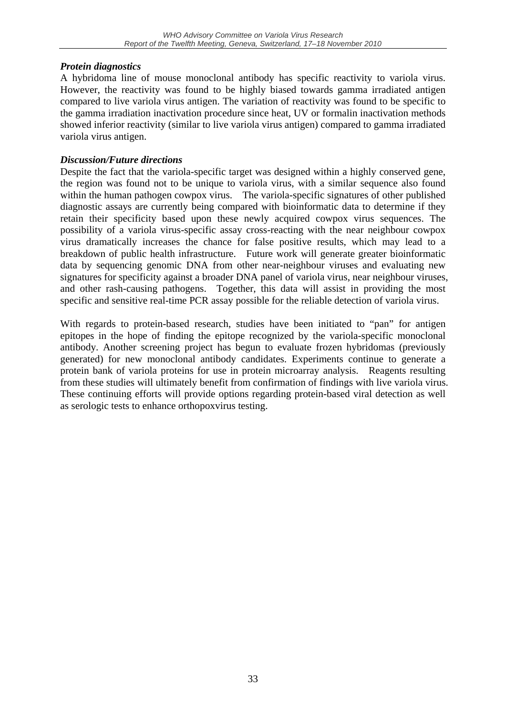#### *Protein diagnostics*

A hybridoma line of mouse monoclonal antibody has specific reactivity to variola virus. However, the reactivity was found to be highly biased towards gamma irradiated antigen compared to live variola virus antigen. The variation of reactivity was found to be specific to the gamma irradiation inactivation procedure since heat, UV or formalin inactivation methods showed inferior reactivity (similar to live variola virus antigen) compared to gamma irradiated variola virus antigen.

#### *Discussion/Future directions*

Despite the fact that the variola-specific target was designed within a highly conserved gene, the region was found not to be unique to variola virus, with a similar sequence also found within the human pathogen cowpox virus. The variola-specific signatures of other published diagnostic assays are currently being compared with bioinformatic data to determine if they retain their specificity based upon these newly acquired cowpox virus sequences. The possibility of a variola virus-specific assay cross-reacting with the near neighbour cowpox virus dramatically increases the chance for false positive results, which may lead to a breakdown of public health infrastructure. Future work will generate greater bioinformatic data by sequencing genomic DNA from other near-neighbour viruses and evaluating new signatures for specificity against a broader DNA panel of variola virus, near neighbour viruses, and other rash-causing pathogens. Together, this data will assist in providing the most specific and sensitive real-time PCR assay possible for the reliable detection of variola virus.

With regards to protein-based research, studies have been initiated to "pan" for antigen epitopes in the hope of finding the epitope recognized by the variola-specific monoclonal antibody. Another screening project has begun to evaluate frozen hybridomas (previously generated) for new monoclonal antibody candidates. Experiments continue to generate a protein bank of variola proteins for use in protein microarray analysis. Reagents resulting from these studies will ultimately benefit from confirmation of findings with live variola virus. These continuing efforts will provide options regarding protein-based viral detection as well as serologic tests to enhance orthopoxvirus testing.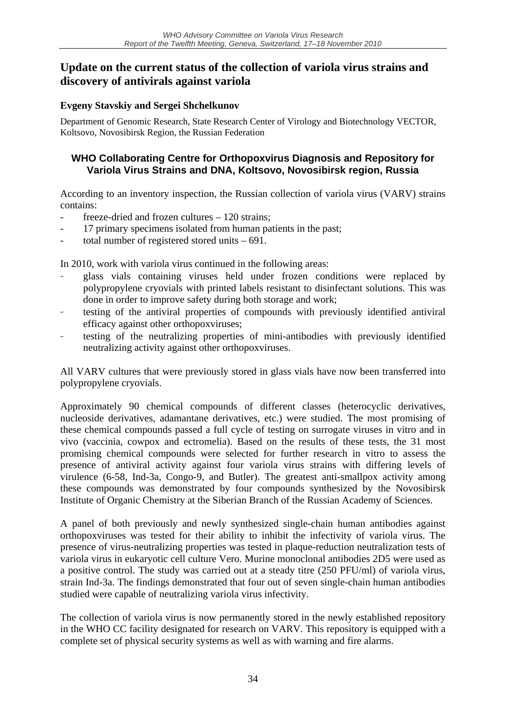## **Update on the current status of the collection of variola virus strains and discovery of antivirals against variola**

#### **Evgeny Stavskiy and Sergei Shchelkunov**

Department of Genomic Research, State Research Center of Virology and Biotechnology VECTOR, Koltsovo, Novosibirsk Region, the Russian Federation

#### **WHO Collaborating Centre for Orthopoxvirus Diagnosis and Repository for Variola Virus Strains and DNA, Koltsovo, Novosibirsk region, Russia**

According to an inventory inspection, the Russian collection of variola virus (VARV) strains contains:

- $freeze\text{-}dried$  and frozen cultures  $-120$  strains;
- 17 primary specimens isolated from human patients in the past;
- total number of registered stored units  $-691$ .

In 2010, work with variola virus continued in the following areas:

- glass vials containing viruses held under frozen conditions were replaced by polypropylene cryovials with printed labels resistant to disinfectant solutions. This was done in order to improve safety during both storage and work;
- testing of the antiviral properties of compounds with previously identified antiviral efficacy against other orthopoxviruses;
- testing of the neutralizing properties of mini-antibodies with previously identified neutralizing activity against other orthopoxviruses.

All VARV cultures that were previously stored in glass vials have now been transferred into polypropylene cryovials.

Approximately 90 chemical compounds of different classes (heterocyclic derivatives, nucleoside derivatives, adamantane derivatives, etc.) were studied. The most promising of these chemical compounds passed a full cycle of testing on surrogate viruses in vitro and in vivo (vaccinia, cowpox and ectromelia). Based on the results of these tests, the 31 most promising chemical compounds were selected for further research in vitro to assess the presence of antiviral activity against four variola virus strains with differing levels of virulence (6-58, Ind-3a, Congo-9, and Butler). The greatest anti-smallpox activity among these compounds was demonstrated by four compounds synthesized by the Novosibirsk Institute of Organic Chemistry at the Siberian Branch of the Russian Academy of Sciences.

A panel of both previously and newly synthesized single-chain human antibodies against orthopoxviruses was tested for their ability to inhibit the infectivity of variola virus. The presence of virus-neutralizing properties was tested in plaque-reduction neutralization tests of variola virus in eukaryotic cell culture Vero. Murine monoclonal antibodies 2D5 were used as a positive control. The study was carried out at a steady titre (250 PFU/ml) of variola virus, strain Ind-3a. The findings demonstrated that four out of seven single-chain human antibodies studied were capable of neutralizing variola virus infectivity.

The collection of variola virus is now permanently stored in the newly established repository in the WHO CC facility designated for research on VARV. This repository is equipped with a complete set of physical security systems as well as with warning and fire alarms.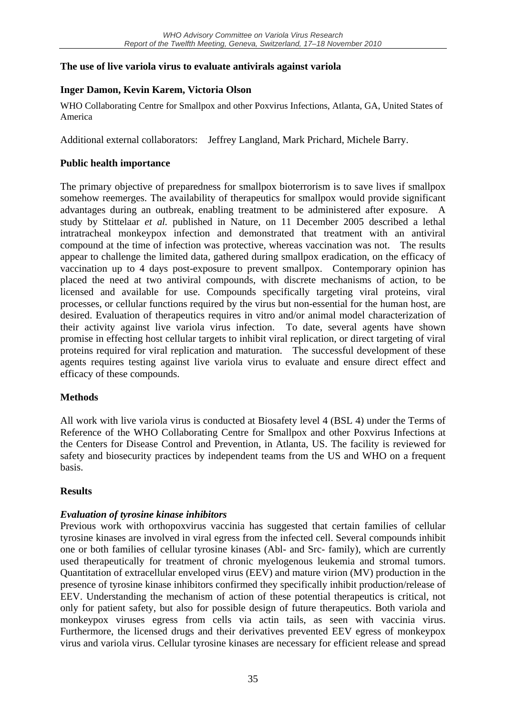#### **The use of live variola virus to evaluate antivirals against variola**

### **Inger Damon, Kevin Karem, Victoria Olson**

WHO Collaborating Centre for Smallpox and other Poxvirus Infections, Atlanta, GA, United States of America

Additional external collaborators: Jeffrey Langland, Mark Prichard, Michele Barry.

#### **Public health importance**

The primary objective of preparedness for smallpox bioterrorism is to save lives if smallpox somehow reemerges. The availability of therapeutics for smallpox would provide significant advantages during an outbreak, enabling treatment to be administered after exposure. A study by Stittelaar *et al.* published in Nature, on 11 December 2005 described a lethal intratracheal monkeypox infection and demonstrated that treatment with an antiviral compound at the time of infection was protective, whereas vaccination was not. The results appear to challenge the limited data, gathered during smallpox eradication, on the efficacy of vaccination up to 4 days post-exposure to prevent smallpox. Contemporary opinion has placed the need at two antiviral compounds, with discrete mechanisms of action, to be licensed and available for use. Compounds specifically targeting viral proteins, viral processes, or cellular functions required by the virus but non-essential for the human host, are desired. Evaluation of therapeutics requires in vitro and/or animal model characterization of their activity against live variola virus infection. To date, several agents have shown promise in effecting host cellular targets to inhibit viral replication, or direct targeting of viral proteins required for viral replication and maturation. The successful development of these agents requires testing against live variola virus to evaluate and ensure direct effect and efficacy of these compounds.

#### **Methods**

All work with live variola virus is conducted at Biosafety level 4 (BSL 4) under the Terms of Reference of the WHO Collaborating Centre for Smallpox and other Poxvirus Infections at the Centers for Disease Control and Prevention, in Atlanta, US. The facility is reviewed for safety and biosecurity practices by independent teams from the US and WHO on a frequent basis.

#### **Results**

### *Evaluation of tyrosine kinase inhibitors*

Previous work with orthopoxvirus vaccinia has suggested that certain families of cellular tyrosine kinases are involved in viral egress from the infected cell. Several compounds inhibit one or both families of cellular tyrosine kinases (Abl- and Src- family), which are currently used therapeutically for treatment of chronic myelogenous leukemia and stromal tumors. Quantitation of extracellular enveloped virus (EEV) and mature virion (MV) production in the presence of tyrosine kinase inhibitors confirmed they specifically inhibit production/release of EEV. Understanding the mechanism of action of these potential therapeutics is critical, not only for patient safety, but also for possible design of future therapeutics. Both variola and monkeypox viruses egress from cells via actin tails, as seen with vaccinia virus. Furthermore, the licensed drugs and their derivatives prevented EEV egress of monkeypox virus and variola virus. Cellular tyrosine kinases are necessary for efficient release and spread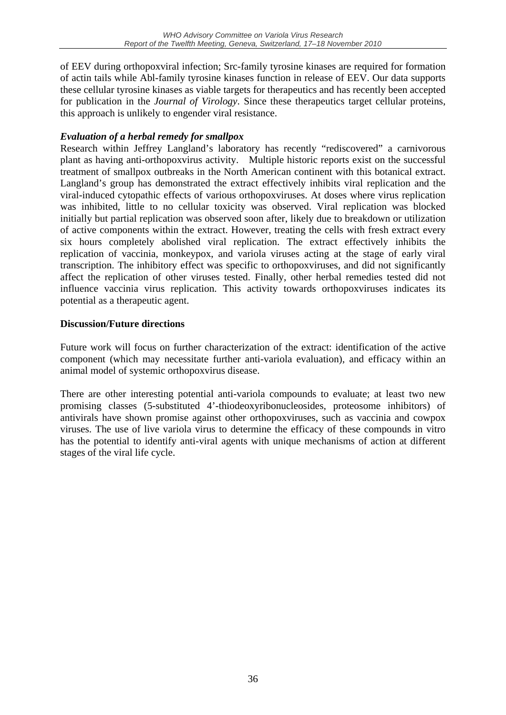of EEV during orthopoxviral infection; Src-family tyrosine kinases are required for formation of actin tails while Abl-family tyrosine kinases function in release of EEV. Our data supports these cellular tyrosine kinases as viable targets for therapeutics and has recently been accepted for publication in the *Journal of Virology*. Since these therapeutics target cellular proteins, this approach is unlikely to engender viral resistance.

#### *Evaluation of a herbal remedy for smallpox*

Research within Jeffrey Langland's laboratory has recently "rediscovered" a carnivorous plant as having anti-orthopoxvirus activity. Multiple historic reports exist on the successful treatment of smallpox outbreaks in the North American continent with this botanical extract. Langland's group has demonstrated the extract effectively inhibits viral replication and the viral-induced cytopathic effects of various orthopoxviruses. At doses where virus replication was inhibited, little to no cellular toxicity was observed. Viral replication was blocked initially but partial replication was observed soon after, likely due to breakdown or utilization of active components within the extract. However, treating the cells with fresh extract every six hours completely abolished viral replication. The extract effectively inhibits the replication of vaccinia, monkeypox, and variola viruses acting at the stage of early viral transcription. The inhibitory effect was specific to orthopoxviruses, and did not significantly affect the replication of other viruses tested. Finally, other herbal remedies tested did not influence vaccinia virus replication. This activity towards orthopoxviruses indicates its potential as a therapeutic agent.

#### **Discussion/Future directions**

Future work will focus on further characterization of the extract: identification of the active component (which may necessitate further anti-variola evaluation), and efficacy within an animal model of systemic orthopoxvirus disease.

There are other interesting potential anti-variola compounds to evaluate; at least two new promising classes (5-substituted 4'-thiodeoxyribonucleosides, proteosome inhibitors) of antivirals have shown promise against other orthopoxviruses, such as vaccinia and cowpox viruses. The use of live variola virus to determine the efficacy of these compounds in vitro has the potential to identify anti-viral agents with unique mechanisms of action at different stages of the viral life cycle.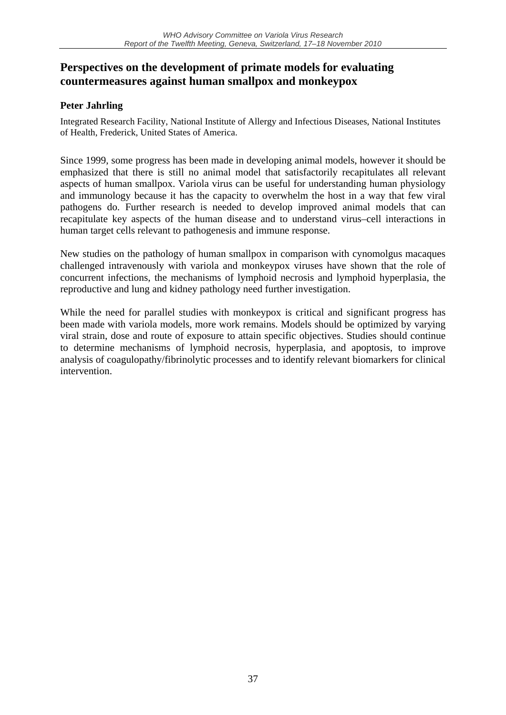## **Perspectives on the development of primate models for evaluating countermeasures against human smallpox and monkeypox**

#### **Peter Jahrling**

Integrated Research Facility, National Institute of Allergy and Infectious Diseases, National Institutes of Health, Frederick, United States of America.

Since 1999, some progress has been made in developing animal models, however it should be emphasized that there is still no animal model that satisfactorily recapitulates all relevant aspects of human smallpox. Variola virus can be useful for understanding human physiology and immunology because it has the capacity to overwhelm the host in a way that few viral pathogens do. Further research is needed to develop improved animal models that can recapitulate key aspects of the human disease and to understand virus–cell interactions in human target cells relevant to pathogenesis and immune response.

New studies on the pathology of human smallpox in comparison with cynomolgus macaques challenged intravenously with variola and monkeypox viruses have shown that the role of concurrent infections, the mechanisms of lymphoid necrosis and lymphoid hyperplasia, the reproductive and lung and kidney pathology need further investigation.

While the need for parallel studies with monkeypox is critical and significant progress has been made with variola models, more work remains. Models should be optimized by varying viral strain, dose and route of exposure to attain specific objectives. Studies should continue to determine mechanisms of lymphoid necrosis, hyperplasia, and apoptosis, to improve analysis of coagulopathy/fibrinolytic processes and to identify relevant biomarkers for clinical intervention.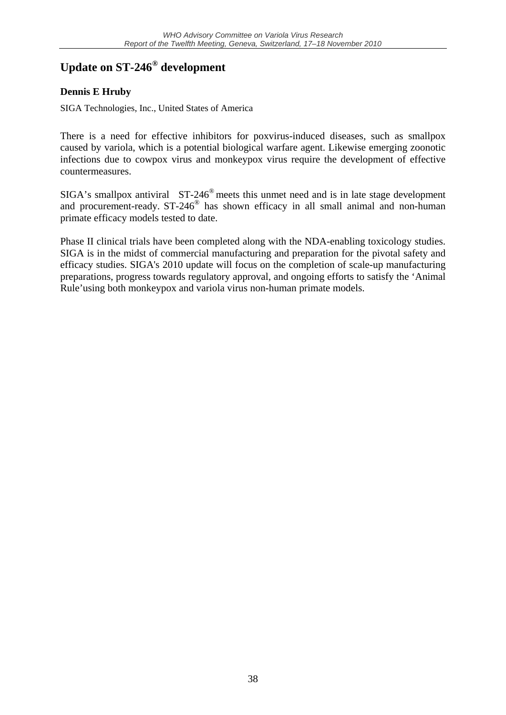## **Update on ST-246® development**

### **Dennis E Hruby**

SIGA Technologies, Inc., United States of America

There is a need for effective inhibitors for poxvirus-induced diseases, such as smallpox caused by variola, which is a potential biological warfare agent. Likewise emerging zoonotic infections due to cowpox virus and monkeypox virus require the development of effective countermeasures.

SIGA's smallpox antiviral  $ST-246^\circ$  meets this unmet need and is in late stage development and procurement-ready. ST-246® has shown efficacy in all small animal and non-human primate efficacy models tested to date.

Phase II clinical trials have been completed along with the NDA-enabling toxicology studies. SIGA is in the midst of commercial manufacturing and preparation for the pivotal safety and efficacy studies. SIGA's 2010 update will focus on the completion of scale-up manufacturing preparations, progress towards regulatory approval, and ongoing efforts to satisfy the 'Animal Rule'using both monkeypox and variola virus non-human primate models.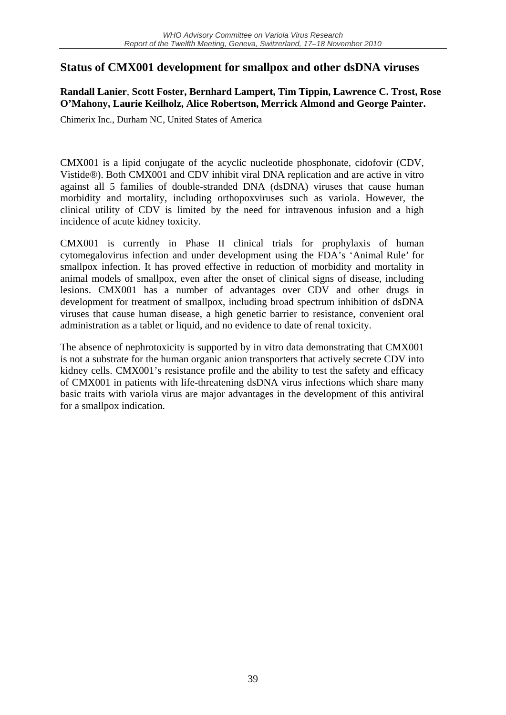## **Status of CMX001 development for smallpox and other dsDNA viruses**

#### **Randall Lanier**, **Scott Foster, Bernhard Lampert, Tim Tippin, Lawrence C. Trost, Rose O'Mahony, Laurie Keilholz, Alice Robertson, Merrick Almond and George Painter.**

Chimerix Inc., Durham NC, United States of America

CMX001 is a lipid conjugate of the acyclic nucleotide phosphonate, cidofovir (CDV, Vistide®). Both CMX001 and CDV inhibit viral DNA replication and are active in vitro against all 5 families of double-stranded DNA (dsDNA) viruses that cause human morbidity and mortality, including orthopoxviruses such as variola. However, the clinical utility of CDV is limited by the need for intravenous infusion and a high incidence of acute kidney toxicity.

CMX001 is currently in Phase II clinical trials for prophylaxis of human cytomegalovirus infection and under development using the FDA's 'Animal Rule' for smallpox infection. It has proved effective in reduction of morbidity and mortality in animal models of smallpox, even after the onset of clinical signs of disease, including lesions. CMX001 has a number of advantages over CDV and other drugs in development for treatment of smallpox, including broad spectrum inhibition of dsDNA viruses that cause human disease, a high genetic barrier to resistance, convenient oral administration as a tablet or liquid, and no evidence to date of renal toxicity.

The absence of nephrotoxicity is supported by in vitro data demonstrating that CMX001 is not a substrate for the human organic anion transporters that actively secrete CDV into kidney cells. CMX001's resistance profile and the ability to test the safety and efficacy of CMX001 in patients with life-threatening dsDNA virus infections which share many basic traits with variola virus are major advantages in the development of this antiviral for a smallpox indication.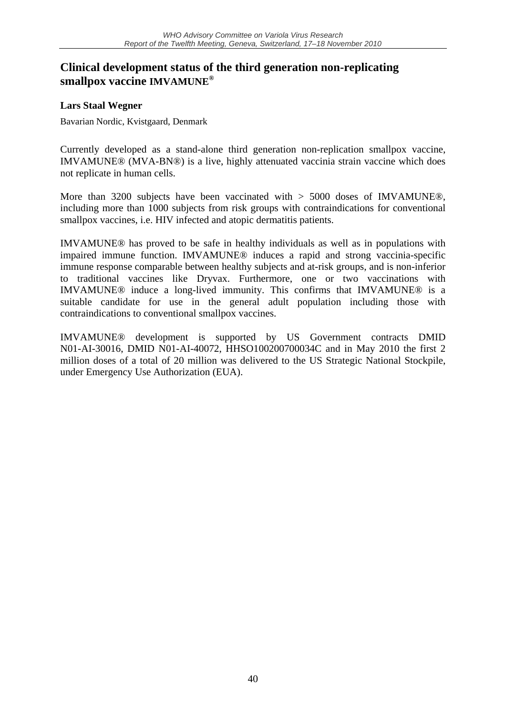## **Clinical development status of the third generation non-replicating smallpox vaccine IMVAMUNE®**

#### **Lars Staal Wegner**

Bavarian Nordic, Kvistgaard, Denmark

Currently developed as a stand-alone third generation non-replication smallpox vaccine, IMVAMUNE® (MVA-BN®) is a live, highly attenuated vaccinia strain vaccine which does not replicate in human cells.

More than 3200 subjects have been vaccinated with > 5000 doses of IMVAMUNE®, including more than 1000 subjects from risk groups with contraindications for conventional smallpox vaccines, i.e. HIV infected and atopic dermatitis patients.

IMVAMUNE® has proved to be safe in healthy individuals as well as in populations with impaired immune function. IMVAMUNE® induces a rapid and strong vaccinia-specific immune response comparable between healthy subjects and at-risk groups, and is non-inferior to traditional vaccines like Dryvax. Furthermore, one or two vaccinations with IMVAMUNE® induce a long-lived immunity. This confirms that IMVAMUNE® is a suitable candidate for use in the general adult population including those with contraindications to conventional smallpox vaccines.

IMVAMUNE® development is supported by US Government contracts DMID N01-AI-30016, DMID N01-AI-40072, HHSO100200700034C and in May 2010 the first 2 million doses of a total of 20 million was delivered to the US Strategic National Stockpile, under Emergency Use Authorization (EUA).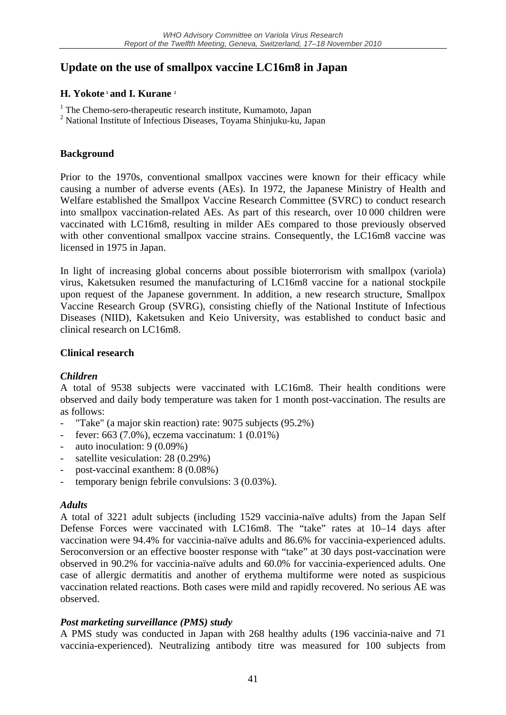## **Update on the use of smallpox vaccine LC16m8 in Japan**

#### **H. Yokote <sup>1</sup> and I. Kurane 2**

- <sup>1</sup> The Chemo-sero-therapeutic research institute, Kumamoto, Japan
- <sup>2</sup> National Institute of Infectious Diseases, Toyama Shinjuku-ku, Japan

#### **Background**

Prior to the 1970s, conventional smallpox vaccines were known for their efficacy while causing a number of adverse events (AEs). In 1972, the Japanese Ministry of Health and Welfare established the Smallpox Vaccine Research Committee (SVRC) to conduct research into smallpox vaccination-related AEs. As part of this research, over 10 000 children were vaccinated with LC16m8, resulting in milder AEs compared to those previously observed with other conventional smallpox vaccine strains. Consequently, the LC16m8 vaccine was licensed in 1975 in Japan.

In light of increasing global concerns about possible bioterrorism with smallpox (variola) virus, Kaketsuken resumed the manufacturing of LC16m8 vaccine for a national stockpile upon request of the Japanese government. In addition, a new research structure, Smallpox Vaccine Research Group (SVRG), consisting chiefly of the National Institute of Infectious Diseases (NIID), Kaketsuken and Keio University, was established to conduct basic and clinical research on LC16m8.

#### **Clinical research**

#### *Children*

A total of 9538 subjects were vaccinated with LC16m8. Their health conditions were observed and daily body temperature was taken for 1 month post-vaccination. The results are as follows:

- "Take" (a major skin reaction) rate: 9075 subjects (95.2%)
- fever: 663 (7.0%), eczema vaccinatum: 1 (0.01%)
- auto inoculation: 9 (0.09%)
- satellite vesiculation: 28 (0.29%)
- post-vaccinal exanthem: 8 (0.08%)
- temporary benign febrile convulsions: 3 (0.03%).

#### *Adults*

A total of 3221 adult subjects (including 1529 vaccinia-naïve adults) from the Japan Self Defense Forces were vaccinated with LC16m8. The "take" rates at 10–14 days after vaccination were 94.4% for vaccinia-naïve adults and 86.6% for vaccinia-experienced adults. Seroconversion or an effective booster response with "take" at 30 days post-vaccination were observed in 90.2% for vaccinia-naïve adults and 60.0% for vaccinia-experienced adults. One case of allergic dermatitis and another of erythema multiforme were noted as suspicious vaccination related reactions. Both cases were mild and rapidly recovered. No serious AE was observed.

#### *Post marketing surveillance (PMS) study*

A PMS study was conducted in Japan with 268 healthy adults (196 vaccinia-naive and 71 vaccinia-experienced). Neutralizing antibody titre was measured for 100 subjects from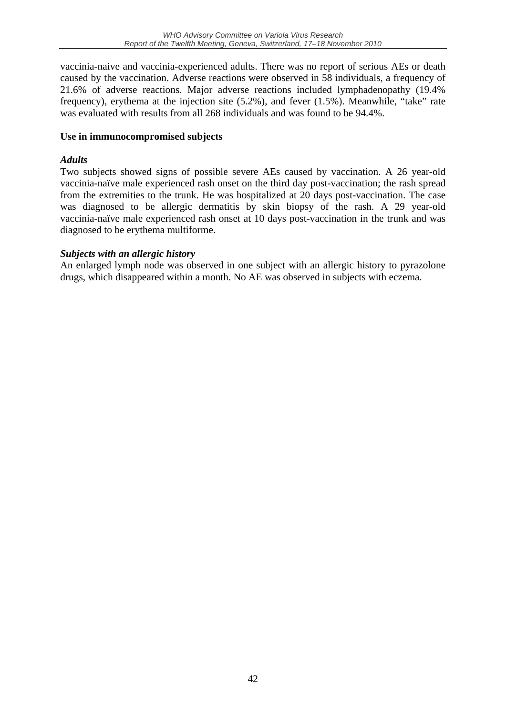vaccinia-naive and vaccinia-experienced adults. There was no report of serious AEs or death caused by the vaccination. Adverse reactions were observed in 58 individuals, a frequency of 21.6% of adverse reactions. Major adverse reactions included lymphadenopathy (19.4% frequency), erythema at the injection site (5.2%), and fever (1.5%). Meanwhile, "take" rate was evaluated with results from all 268 individuals and was found to be 94.4%.

#### **Use in immunocompromised subjects**

#### *Adults*

Two subjects showed signs of possible severe AEs caused by vaccination. A 26 year-old vaccinia-naïve male experienced rash onset on the third day post-vaccination; the rash spread from the extremities to the trunk. He was hospitalized at 20 days post-vaccination. The case was diagnosed to be allergic dermatitis by skin biopsy of the rash. A 29 year-old vaccinia-naïve male experienced rash onset at 10 days post-vaccination in the trunk and was diagnosed to be erythema multiforme.

#### *Subjects with an allergic history*

An enlarged lymph node was observed in one subject with an allergic history to pyrazolone drugs, which disappeared within a month. No AE was observed in subjects with eczema.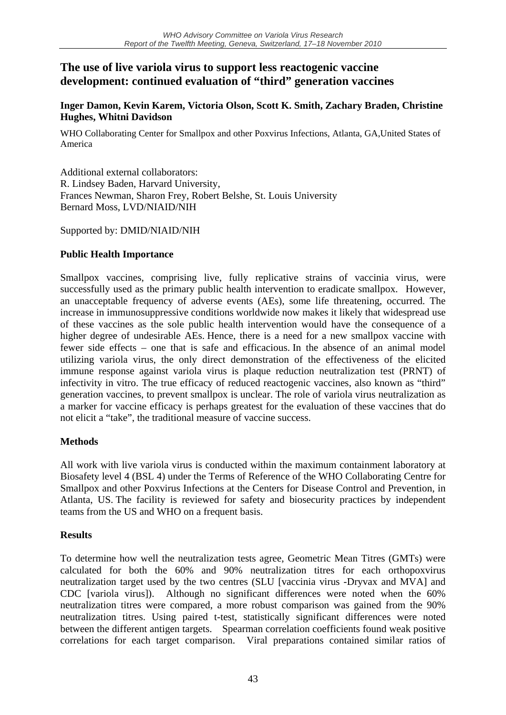## **The use of live variola virus to support less reactogenic vaccine development: continued evaluation of "third" generation vaccines**

#### **Inger Damon, Kevin Karem, Victoria Olson, Scott K. Smith, Zachary Braden, Christine Hughes, Whitni Davidson**

WHO Collaborating Center for Smallpox and other Poxvirus Infections, Atlanta, GA, United States of America

Additional external collaborators: R. Lindsey Baden, Harvard University, Frances Newman, Sharon Frey, Robert Belshe, St. Louis University Bernard Moss, LVD/NIAID/NIH

Supported by: DMID/NIAID/NIH

#### **Public Health Importance**

Smallpox vaccines, comprising live, fully replicative strains of vaccinia virus, were successfully used as the primary public health intervention to eradicate smallpox. However, an unacceptable frequency of adverse events (AEs), some life threatening, occurred. The increase in immunosuppressive conditions worldwide now makes it likely that widespread use of these vaccines as the sole public health intervention would have the consequence of a higher degree of undesirable AEs. Hence, there is a need for a new smallpox vaccine with fewer side effects – one that is safe and efficacious. In the absence of an animal model utilizing variola virus, the only direct demonstration of the effectiveness of the elicited immune response against variola virus is plaque reduction neutralization test (PRNT) of infectivity in vitro. The true efficacy of reduced reactogenic vaccines, also known as "third" generation vaccines, to prevent smallpox is unclear. The role of variola virus neutralization as a marker for vaccine efficacy is perhaps greatest for the evaluation of these vaccines that do not elicit a "take", the traditional measure of vaccine success.

#### **Methods**

All work with live variola virus is conducted within the maximum containment laboratory at Biosafety level 4 (BSL 4) under the Terms of Reference of the WHO Collaborating Centre for Smallpox and other Poxvirus Infections at the Centers for Disease Control and Prevention, in Atlanta, US. The facility is reviewed for safety and biosecurity practices by independent teams from the US and WHO on a frequent basis.

#### **Results**

To determine how well the neutralization tests agree, Geometric Mean Titres (GMTs) were calculated for both the 60% and 90% neutralization titres for each orthopoxvirus neutralization target used by the two centres (SLU [vaccinia virus -Dryvax and MVA] and CDC [variola virus]). Although no significant differences were noted when the 60% neutralization titres were compared, a more robust comparison was gained from the 90% neutralization titres. Using paired t-test, statistically significant differences were noted between the different antigen targets. Spearman correlation coefficients found weak positive correlations for each target comparison. Viral preparations contained similar ratios of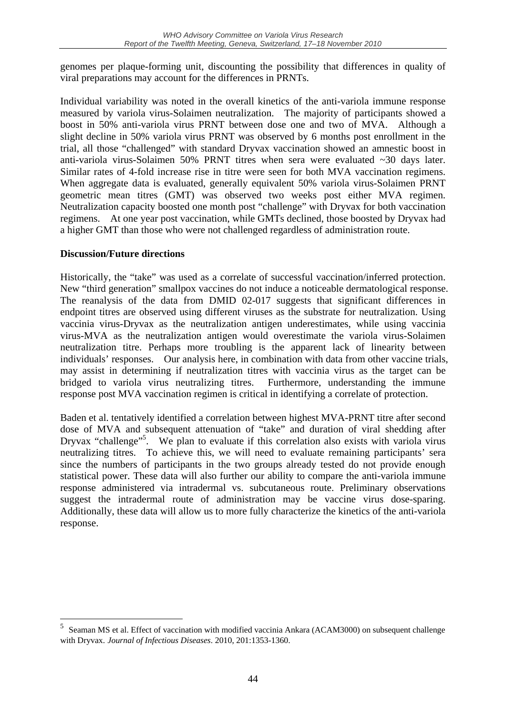genomes per plaque-forming unit, discounting the possibility that differences in quality of viral preparations may account for the differences in PRNTs.

Individual variability was noted in the overall kinetics of the anti-variola immune response measured by variola virus-Solaimen neutralization. The majority of participants showed a boost in 50% anti-variola virus PRNT between dose one and two of MVA. Although a slight decline in 50% variola virus PRNT was observed by 6 months post enrollment in the trial, all those "challenged" with standard Dryvax vaccination showed an amnestic boost in anti-variola virus-Solaimen 50% PRNT titres when sera were evaluated  $\sim$ 30 days later. Similar rates of 4-fold increase rise in titre were seen for both MVA vaccination regimens. When aggregate data is evaluated, generally equivalent 50% variola virus-Solaimen PRNT geometric mean titres (GMT) was observed two weeks post either MVA regimen. Neutralization capacity boosted one month post "challenge" with Dryvax for both vaccination regimens. At one year post vaccination, while GMTs declined, those boosted by Dryvax had a higher GMT than those who were not challenged regardless of administration route.

#### **Discussion/Future directions**

1

Historically, the "take" was used as a correlate of successful vaccination/inferred protection. New "third generation" smallpox vaccines do not induce a noticeable dermatological response. The reanalysis of the data from DMID 02-017 suggests that significant differences in endpoint titres are observed using different viruses as the substrate for neutralization. Using vaccinia virus-Dryvax as the neutralization antigen underestimates, while using vaccinia virus-MVA as the neutralization antigen would overestimate the variola virus-Solaimen neutralization titre. Perhaps more troubling is the apparent lack of linearity between individuals' responses. Our analysis here, in combination with data from other vaccine trials, may assist in determining if neutralization titres with vaccinia virus as the target can be bridged to variola virus neutralizing titres. Furthermore, understanding the immune response post MVA vaccination regimen is critical in identifying a correlate of protection.

Baden et al. tentatively identified a correlation between highest MVA-PRNT titre after second dose of MVA and subsequent attenuation of "take" and duration of viral shedding after Dryvax "challenge"<sup>5</sup>. We plan to evaluate if this correlation also exists with variola virus neutralizing titres. To achieve this, we will need to evaluate remaining participants' sera since the numbers of participants in the two groups already tested do not provide enough statistical power. These data will also further our ability to compare the anti-variola immune response administered via intradermal vs. subcutaneous route. Preliminary observations suggest the intradermal route of administration may be vaccine virus dose-sparing. Additionally, these data will allow us to more fully characterize the kinetics of the anti-variola response.

<sup>5</sup> Seaman MS et al. Effect of vaccination with modified vaccinia Ankara (ACAM3000) on subsequent challenge with Dryvax. *Journal of Infectious Diseases*. 2010, 201:1353-1360.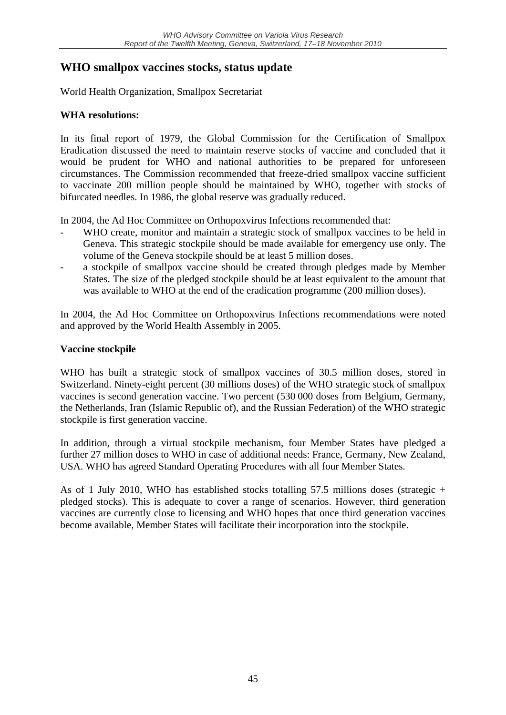## **WHO smallpox vaccines stocks, status update**

World Health Organization, Smallpox Secretariat

#### **WHA resolutions:**

In its final report of 1979, the Global Commission for the Certification of Smallpox Eradication discussed the need to maintain reserve stocks of vaccine and concluded that it would be prudent for WHO and national authorities to be prepared for unforeseen circumstances. The Commission recommended that freeze-dried smallpox vaccine sufficient to vaccinate 200 million people should be maintained by WHO, together with stocks of bifurcated needles. In 1986, the global reserve was gradually reduced.

In 2004, the Ad Hoc Committee on Orthopoxvirus Infections recommended that:

- WHO create, monitor and maintain a strategic stock of smallpox vaccines to be held in Geneva. This strategic stockpile should be made available for emergency use only. The volume of the Geneva stockpile should be at least 5 million doses.
- a stockpile of smallpox vaccine should be created through pledges made by Member States. The size of the pledged stockpile should be at least equivalent to the amount that was available to WHO at the end of the eradication programme (200 million doses).

In 2004, the Ad Hoc Committee on Orthopoxvirus Infections recommendations were noted and approved by the World Health Assembly in 2005.

#### **Vaccine stockpile**

WHO has built a strategic stock of smallpox vaccines of 30.5 million doses, stored in Switzerland. Ninety-eight percent (30 millions doses) of the WHO strategic stock of smallpox vaccines is second generation vaccine. Two percent (530 000 doses from Belgium, Germany, the Netherlands, Iran (Islamic Republic of), and the Russian Federation) of the WHO strategic stockpile is first generation vaccine.

In addition, through a virtual stockpile mechanism, four Member States have pledged a further 27 million doses to WHO in case of additional needs: France, Germany, New Zealand, USA. WHO has agreed Standard Operating Procedures with all four Member States.

As of 1 July 2010, WHO has established stocks totalling 57.5 millions doses (strategic + pledged stocks). This is adequate to cover a range of scenarios. However, third generation vaccines are currently close to licensing and WHO hopes that once third generation vaccines become available, Member States will facilitate their incorporation into the stockpile.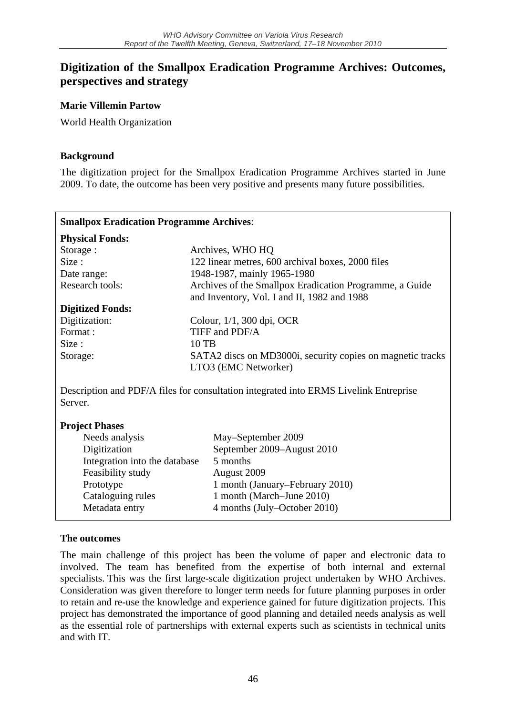## **Digitization of the Smallpox Eradication Programme Archives: Outcomes, perspectives and strategy**

**Marie Villemin Partow** 

World Health Organization

#### **Background**

The digitization project for the Smallpox Eradication Programme Archives started in June 2009. To date, the outcome has been very positive and presents many future possibilities.

| <b>Smallpox Eradication Programme Archives:</b>                                                  |                                                            |  |  |
|--------------------------------------------------------------------------------------------------|------------------------------------------------------------|--|--|
| <b>Physical Fonds:</b>                                                                           |                                                            |  |  |
| Storage:                                                                                         | Archives, WHO HQ                                           |  |  |
| Size:                                                                                            | 122 linear metres, 600 archival boxes, 2000 files          |  |  |
| Date range:                                                                                      | 1948-1987, mainly 1965-1980                                |  |  |
| <b>Research tools:</b>                                                                           | Archives of the Smallpox Eradication Programme, a Guide    |  |  |
|                                                                                                  | and Inventory, Vol. I and II, 1982 and 1988                |  |  |
| <b>Digitized Fonds:</b>                                                                          |                                                            |  |  |
| Digitization:                                                                                    | Colour, 1/1, 300 dpi, OCR                                  |  |  |
| Format:                                                                                          | TIFF and PDF/A                                             |  |  |
| Size:                                                                                            | 10 TB                                                      |  |  |
| Storage:                                                                                         | SATA2 discs on MD3000i, security copies on magnetic tracks |  |  |
|                                                                                                  | LTO3 (EMC Networker)                                       |  |  |
| Description and PDF/A files for consultation integrated into ERMS Livelink Entreprise<br>Server. |                                                            |  |  |
| <b>Project Phases</b>                                                                            |                                                            |  |  |
| Needs analysis                                                                                   | May-September 2009                                         |  |  |
| Digitization                                                                                     | September 2009-August 2010                                 |  |  |
| Integration into the database                                                                    | 5 months                                                   |  |  |
| Feasibility study                                                                                | August 2009                                                |  |  |
| Prototype                                                                                        | 1 month (January–February 2010)                            |  |  |
| Cataloguing rules                                                                                | 1 month (March–June 2010)                                  |  |  |
| Metadata entry                                                                                   | 4 months (July–October 2010)                               |  |  |
|                                                                                                  |                                                            |  |  |

#### **The outcomes**

The main challenge of this project has been the volume of paper and electronic data to involved. The team has benefited from the expertise of both internal and external specialists. This was the first large-scale digitization project undertaken by WHO Archives. Consideration was given therefore to longer term needs for future planning purposes in order to retain and re-use the knowledge and experience gained for future digitization projects. This project has demonstrated the importance of good planning and detailed needs analysis as well as the essential role of partnerships with external experts such as scientists in technical units and with IT.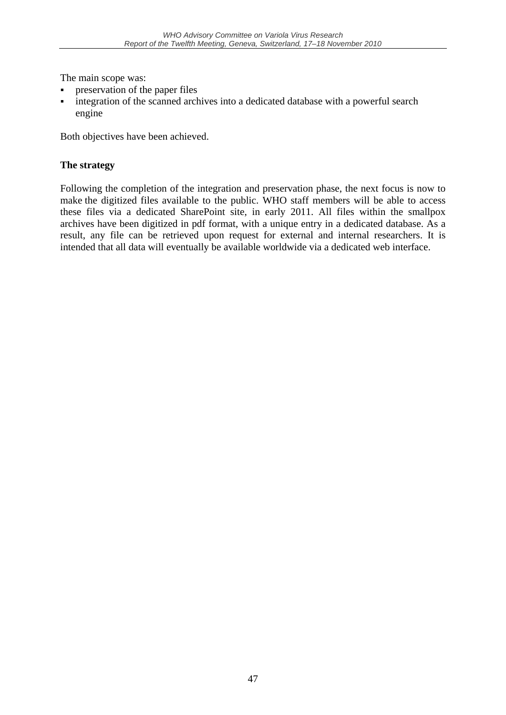The main scope was:

- preservation of the paper files
- integration of the scanned archives into a dedicated database with a powerful search engine

Both objectives have been achieved.

#### **The strategy**

Following the completion of the integration and preservation phase, the next focus is now to make the digitized files available to the public. WHO staff members will be able to access these files via a dedicated SharePoint site, in early 2011. All files within the smallpox archives have been digitized in pdf format, with a unique entry in a dedicated database. As a result, any file can be retrieved upon request for external and internal researchers. It is intended that all data will eventually be available worldwide via a dedicated web interface.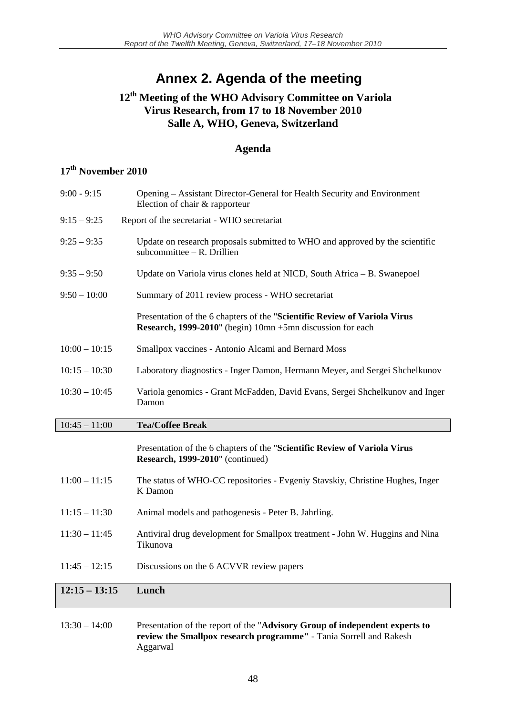## **Annex 2. Agenda of the meeting**

## **12th Meeting of the WHO Advisory Committee on Variola Virus Research, from 17 to 18 November 2010 Salle A, WHO, Geneva, Switzerland**

#### **Agenda**

### **17th November 2010**

| $12:15 - 13:15$ | Lunch                                                                                                                                   |
|-----------------|-----------------------------------------------------------------------------------------------------------------------------------------|
| $11:45 - 12:15$ | Discussions on the 6 ACVVR review papers                                                                                                |
|                 | Tikunova                                                                                                                                |
| $11:30 - 11:45$ | Antiviral drug development for Smallpox treatment - John W. Huggins and Nina                                                            |
| $11:15 - 11:30$ | Animal models and pathogenesis - Peter B. Jahrling.                                                                                     |
| $11:00 - 11:15$ | The status of WHO-CC repositories - Evgeniy Stavskiy, Christine Hughes, Inger<br>K Damon                                                |
|                 | Presentation of the 6 chapters of the "Scientific Review of Variola Virus<br>Research, 1999-2010" (continued)                           |
| $10:45 - 11:00$ | <b>Tea/Coffee Break</b>                                                                                                                 |
| $10:30 - 10:45$ | Variola genomics - Grant McFadden, David Evans, Sergei Shchelkunov and Inger<br>Damon                                                   |
| $10:15 - 10:30$ | Laboratory diagnostics - Inger Damon, Hermann Meyer, and Sergei Shchelkunov                                                             |
| $10:00 - 10:15$ | Smallpox vaccines - Antonio Alcami and Bernard Moss                                                                                     |
|                 | Presentation of the 6 chapters of the "Scientific Review of Variola Virus<br>Research, 1999-2010" (begin) 10mn +5mn discussion for each |
| $9:50 - 10:00$  | Summary of 2011 review process - WHO secretariat                                                                                        |
| $9:35 - 9:50$   | Update on Variola virus clones held at NICD, South Africa - B. Swanepoel                                                                |
| $9:25 - 9:35$   | Update on research proposals submitted to WHO and approved by the scientific<br>subcommittee $-$ R. Drillien                            |
| $9:15 - 9:25$   | Report of the secretariat - WHO secretariat                                                                                             |
|                 | Election of chair & rapporteur                                                                                                          |

#### 13:30 – 14:00 Presentation of the report of the "**Advisory Group of independent experts to review the Smallpox research programme"** - Tania Sorrell and Rakesh Aggarwal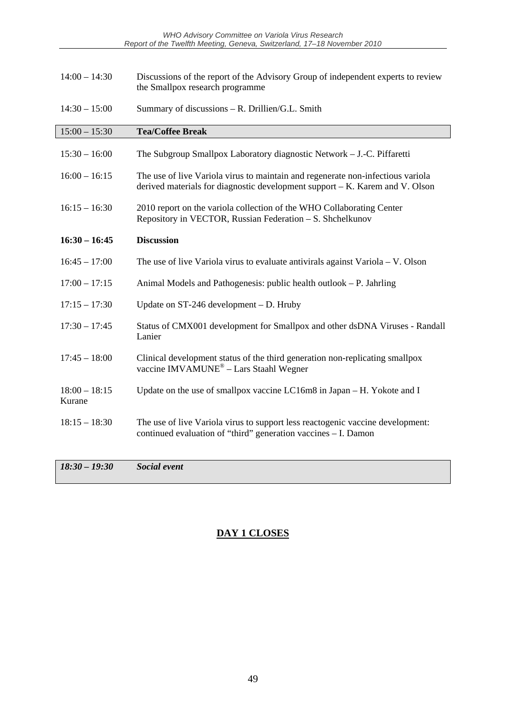*WHO Advisory Committee on Variola Virus Research Report of the Twelfth Meeting, Geneva, Switzerland, 17–18 November 2010* 

| $14:00 - 14:30$           | Discussions of the report of the Advisory Group of independent experts to review<br>the Smallpox research programme                                             |
|---------------------------|-----------------------------------------------------------------------------------------------------------------------------------------------------------------|
| $14:30 - 15:00$           | Summary of discussions - R. Drillien/G.L. Smith                                                                                                                 |
| $15:00 - 15:30$           | <b>Tea/Coffee Break</b>                                                                                                                                         |
| $15:30 - 16:00$           | The Subgroup Smallpox Laboratory diagnostic Network – J.-C. Piffaretti                                                                                          |
| $16:00 - 16:15$           | The use of live Variola virus to maintain and regenerate non-infectious variola<br>derived materials for diagnostic development support - K. Karem and V. Olson |
| $16:15 - 16:30$           | 2010 report on the variola collection of the WHO Collaborating Center<br>Repository in VECTOR, Russian Federation – S. Shchelkunov                              |
| $16:30 - 16:45$           | <b>Discussion</b>                                                                                                                                               |
| $16:45 - 17:00$           | The use of live Variola virus to evaluate antivirals against Variola $-$ V. Olson                                                                               |
| $17:00 - 17:15$           | Animal Models and Pathogenesis: public health outlook – P. Jahrling                                                                                             |
| $17:15 - 17:30$           | Update on $ST-246$ development $- D$ . Hruby                                                                                                                    |
| $17:30 - 17:45$           | Status of CMX001 development for Smallpox and other dsDNA Viruses - Randall<br>Lanier                                                                           |
| $17:45 - 18:00$           | Clinical development status of the third generation non-replicating smallpox<br>vaccine IMVAMUNE <sup>®</sup> - Lars Staahl Wegner                              |
| $18:00 - 18:15$<br>Kurane | Update on the use of smallpox vaccine LC16m8 in Japan - H. Yokote and I                                                                                         |
| $18:15 - 18:30$           | The use of live Variola virus to support less reactogenic vaccine development:<br>continued evaluation of "third" generation vaccines - I. Damon                |
| $18:30 - 19:30$           | Social event                                                                                                                                                    |

**DAY 1 CLOSES**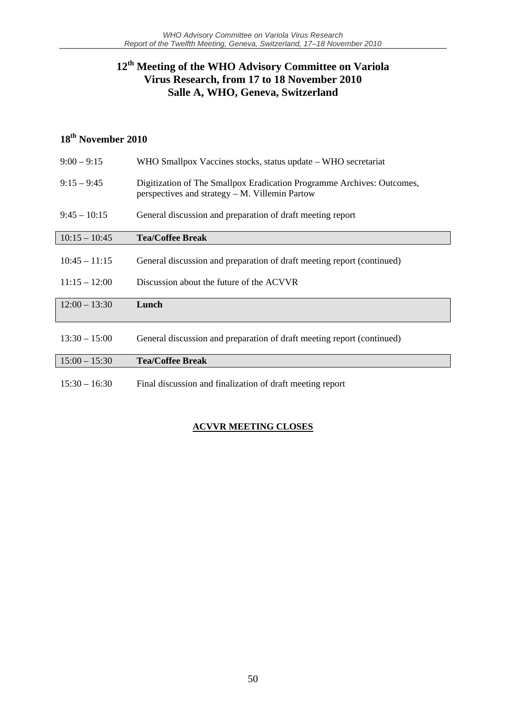## **12th Meeting of the WHO Advisory Committee on Variola Virus Research, from 17 to 18 November 2010 Salle A, WHO, Geneva, Switzerland**

## **18th November 2010**

| $9:00 - 9:15$   | WHO Smallpox Vaccines stocks, status update – WHO secretariat                                                            |
|-----------------|--------------------------------------------------------------------------------------------------------------------------|
| $9:15 - 9:45$   | Digitization of The Smallpox Eradication Programme Archives: Outcomes,<br>perspectives and strategy – M. Villemin Partow |
| $9:45 - 10:15$  | General discussion and preparation of draft meeting report                                                               |
| $10:15 - 10:45$ | <b>Tea/Coffee Break</b>                                                                                                  |
| $10:45 - 11:15$ | General discussion and preparation of draft meeting report (continued)                                                   |
| $11:15 - 12:00$ | Discussion about the future of the ACVVR                                                                                 |
| $12:00 - 13:30$ | Lunch                                                                                                                    |
| $13:30 - 15:00$ | General discussion and preparation of draft meeting report (continued)                                                   |
| $15:00 - 15:30$ | <b>Tea/Coffee Break</b>                                                                                                  |
| $15:30 - 16:30$ | Final discussion and finalization of draft meeting report                                                                |

#### **ACVVR MEETING CLOSES**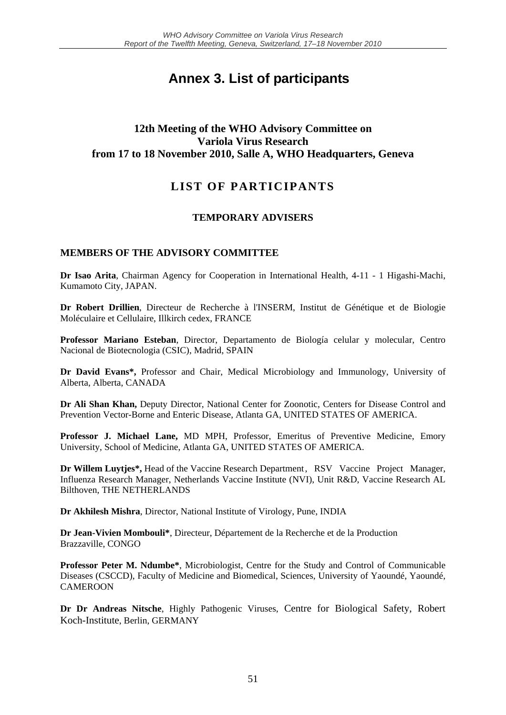## **Annex 3. List of participants**

#### **12th Meeting of the WHO Advisory Committee on Variola Virus Research from 17 to 18 November 2010, Salle A, WHO Headquarters, Geneva**

## **LIST OF PARTICIPANTS**

#### **TEMPORARY ADVISERS**

#### **MEMBERS OF THE ADVISORY COMMITTEE**

**Dr Isao Arita**, Chairman Agency for Cooperation in International Health, 4-11 - 1 Higashi-Machi, Kumamoto City, JAPAN.

**Dr Robert Drillien**, Directeur de Recherche à l'INSERM, Institut de Génétique et de Biologie Moléculaire et Cellulaire, Illkirch cedex, FRANCE

**Professor Mariano Esteban**, Director, Departamento de Biología celular y molecular, Centro Nacional de Biotecnologia (CSIC), Madrid, SPAIN

**Dr David Evans\*,** Professor and Chair, Medical Microbiology and Immunology, University of Alberta, Alberta, CANADA

**Dr Ali Shan Khan,** Deputy Director, National Center for Zoonotic, Centers for Disease Control and Prevention Vector-Borne and Enteric Disease, Atlanta GA, UNITED STATES OF AMERICA.

**Professor J. Michael Lane,** MD MPH, Professor, Emeritus of Preventive Medicine, Emory University, School of Medicine, Atlanta GA, UNITED STATES OF AMERICA.

**Dr Willem Luytjes\*,** Head of the Vaccine Research Department , RSV Vaccine Project Manager, Influenza Research Manager, Netherlands Vaccine Institute (NVI), Unit R&D, Vaccine Research AL Bilthoven, THE NETHERLANDS

**Dr Akhilesh Mishra**, Director, National Institute of Virology, Pune, INDIA

**Dr Jean-Vivien Mombouli\***, Directeur, Département de la Recherche et de la Production Brazzaville, CONGO

**Professor Peter M. Ndumbe\***, Microbiologist, Centre for the Study and Control of Communicable Diseases (CSCCD), Faculty of Medicine and Biomedical, Sciences, University of Yaoundé, Yaoundé, CAMEROON

**Dr Dr Andreas Nitsche**, Highly Pathogenic Viruses, Centre for Biological Safety, Robert Koch-Institute, Berlin, GERMANY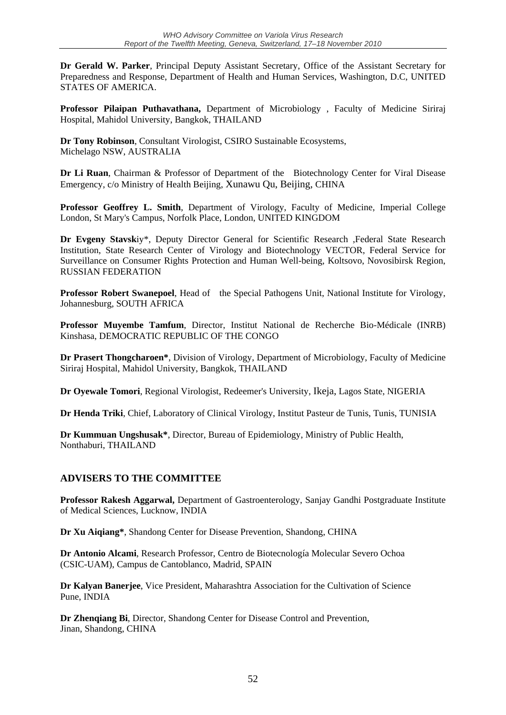**Dr Gerald W. Parker**, Principal Deputy Assistant Secretary, Office of the Assistant Secretary for Preparedness and Response, Department of Health and Human Services, Washington, D.C, UNITED STATES OF AMERICA.

**Professor Pilaipan Puthavathana,** Department of Microbiology , Faculty of Medicine Siriraj Hospital, Mahidol University, Bangkok, THAILAND

**Dr Tony Robinson**, Consultant Virologist, CSIRO Sustainable Ecosystems, Michelago NSW, AUSTRALIA

**Dr Li Ruan**, Chairman & Professor of Department of the Biotechnology Center for Viral Disease Emergency, c/o Ministry of Health Beijing, Xunawu Qu, Beijing, CHINA

**Professor Geoffrey L. Smith**, Department of Virology, Faculty of Medicine, Imperial College London, St Mary's Campus, Norfolk Place, London, UNITED KINGDOM

**Dr Evgeny Stavsk**iy\*, Deputy Director General for Scientific Research ,Federal State Research Institution, State Research Center of Virology and Biotechnology VECTOR, Federal Service for Surveillance on Consumer Rights Protection and Human Well-being, Koltsovo, Novosibirsk Region, RUSSIAN FEDERATION

**Professor Robert Swanepoel**, Head of the Special Pathogens Unit, National Institute for Virology, Johannesburg, SOUTH AFRICA

**Professor Muyembe Tamfum**, Director, Institut National de Recherche Bio-Médicale (INRB) Kinshasa, DEMOCRATIC REPUBLIC OF THE CONGO

**Dr Prasert Thongcharoen\***, Division of Virology, Department of Microbiology, Faculty of Medicine Siriraj Hospital, Mahidol University, Bangkok, THAILAND

**Dr Oyewale Tomori**, Regional Virologist, Redeemer's University, Ikeja, Lagos State, NIGERIA

**Dr Henda Triki**, Chief, Laboratory of Clinical Virology, Institut Pasteur de Tunis, Tunis, TUNISIA

**Dr Kummuan Ungshusak\***, Director, Bureau of Epidemiology, Ministry of Public Health, Nonthaburi, THAILAND

#### **ADVISERS TO THE COMMITTEE**

**Professor Rakesh Aggarwal,** Department of Gastroenterology, Sanjay Gandhi Postgraduate Institute of Medical Sciences, Lucknow, INDIA

**Dr Xu Aiqiang\***, Shandong Center for Disease Prevention, Shandong, CHINA

**Dr Antonio Alcami**, Research Professor, Centro de Biotecnología Molecular Severo Ochoa (CSIC-UAM), Campus de Cantoblanco, Madrid, SPAIN

**Dr Kalyan Banerjee**, Vice President, Maharashtra Association for the Cultivation of Science Pune, INDIA

**Dr Zhenqiang Bi**, Director, Shandong Center for Disease Control and Prevention, Jinan, Shandong, CHINA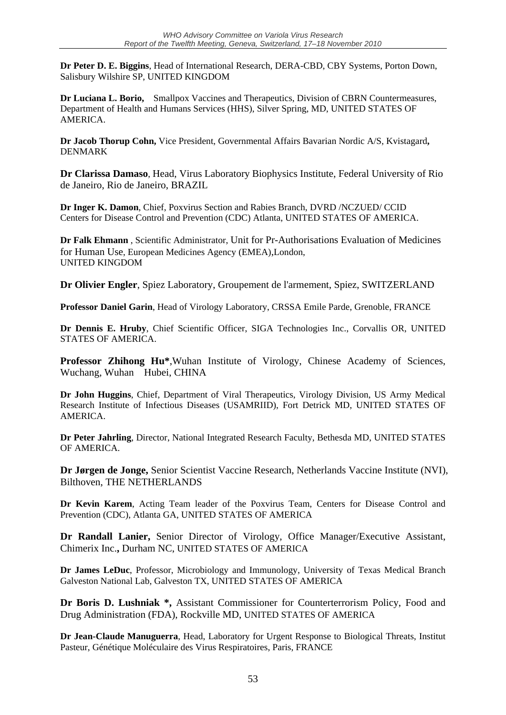**Dr Peter D. E. Biggins**, Head of International Research, DERA-CBD, CBY Systems, Porton Down, Salisbury Wilshire SP, UNITED KINGDOM

**Dr Luciana L. Borio,** Smallpox Vaccines and Therapeutics, Division of CBRN Countermeasures, Department of Health and Humans Services (HHS), Silver Spring, MD, UNITED STATES OF AMERICA.

**Dr Jacob Thorup Cohn,** Vice President, Governmental Affairs Bavarian Nordic A/S, Kvistagard**,**  DENMARK

**Dr Clarissa Damaso**, Head, Virus Laboratory Biophysics Institute, Federal University of Rio de Janeiro, Rio de Janeiro, BRAZIL

**Dr Inger K. Damon**, Chief, Poxvirus Section and Rabies Branch, DVRD /NCZUED/ CCID Centers for Disease Control and Prevention (CDC) Atlanta, UNITED STATES OF AMERICA.

**Dr Falk Ehmann** , Scientific Administrator, Unit for Pr-Authorisations Evaluation of Medicines for Human Use, European Medicines Agency (EMEA),London, UNITED KINGDOM

**Dr Olivier Engler**, Spiez Laboratory, Groupement de l'armement, Spiez, SWITZERLAND

**Professor Daniel Garin**, Head of Virology Laboratory, CRSSA Emile Parde, Grenoble, FRANCE

**Dr Dennis E. Hruby**, Chief Scientific Officer, SIGA Technologies Inc., Corvallis OR, UNITED STATES OF AMERICA.

**Professor Zhihong Hu\***,Wuhan Institute of Virology, Chinese Academy of Sciences, Wuchang, Wuhan Hubei, CHINA

**Dr John Huggins**, Chief, Department of Viral Therapeutics, Virology Division, US Army Medical Research Institute of Infectious Diseases (USAMRIID), Fort Detrick MD, UNITED STATES OF **AMERICA** 

**Dr Peter Jahrling**, Director, National Integrated Research Faculty, Bethesda MD, UNITED STATES OF AMERICA.

**Dr Jørgen de Jonge,** Senior Scientist Vaccine Research, Netherlands Vaccine Institute (NVI), Bilthoven, THE NETHERLANDS

**Dr Kevin Karem**, Acting Team leader of the Poxvirus Team, Centers for Disease Control and Prevention (CDC), Atlanta GA, UNITED STATES OF AMERICA

**Dr Randall Lanier,** Senior Director of Virology, Office Manager/Executive Assistant, Chimerix Inc.**,** Durham NC, UNITED STATES OF AMERICA

**Dr James LeDuc**, Professor, Microbiology and Immunology, University of Texas Medical Branch Galveston National Lab, Galveston TX, UNITED STATES OF AMERICA

**Dr Boris D. Lushniak \*,** Assistant Commissioner for Counterterrorism Policy, Food and Drug Administration (FDA), Rockville MD, UNITED STATES OF AMERICA

**Dr Jean-Claude Manuguerra**, Head, Laboratory for Urgent Response to Biological Threats, Institut Pasteur, Génétique Moléculaire des Virus Respiratoires, Paris, FRANCE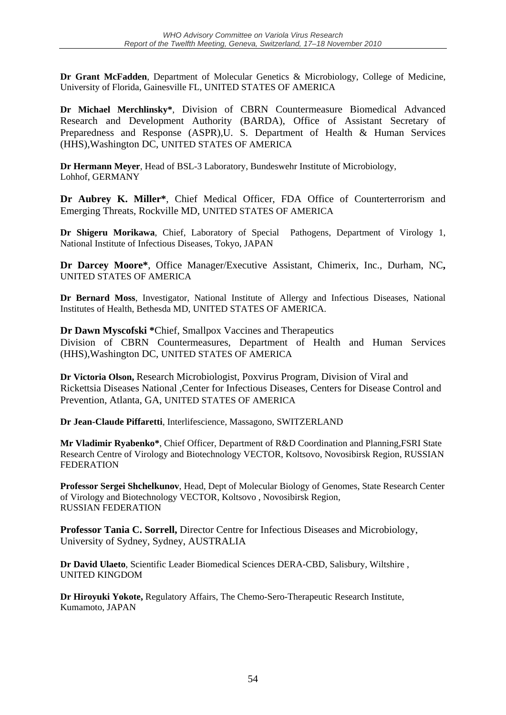**Dr Grant McFadden**, Department of Molecular Genetics & Microbiology, College of Medicine, University of Florida, Gainesville FL, UNITED STATES OF AMERICA

**Dr Michael Merchlinsky\***, Division of CBRN Countermeasure Biomedical Advanced Research and Development Authority (BARDA), Office of Assistant Secretary of Preparedness and Response (ASPR),U. S. Department of Health & Human Services (HHS),Washington DC, UNITED STATES OF AMERICA

**Dr Hermann Meyer**, Head of BSL-3 Laboratory, Bundeswehr Institute of Microbiology, Lohhof, GERMANY

**Dr Aubrey K. Miller\***, Chief Medical Officer, FDA Office of Counterterrorism and Emerging Threats, Rockville MD, UNITED STATES OF AMERICA

**Dr Shigeru Morikawa**, Chief, Laboratory of Special Pathogens, Department of Virology 1, National Institute of Infectious Diseases, Tokyo, JAPAN

**Dr Darcey Moore\***, Office Manager/Executive Assistant, Chimerix, Inc., Durham, NC**,**  UNITED STATES OF AMERICA

**Dr Bernard Moss**, Investigator, National Institute of Allergy and Infectious Diseases, National Institutes of Health, Bethesda MD, UNITED STATES OF AMERICA.

**Dr Dawn Myscofski \***Chief, Smallpox Vaccines and Therapeutics Division of CBRN Countermeasures, Department of Health and Human Services (HHS),Washington DC, UNITED STATES OF AMERICA

**Dr Victoria Olson,** Research Microbiologist, Poxvirus Program, Division of Viral and Rickettsia Diseases National ,Center for Infectious Diseases, Centers for Disease Control and Prevention, Atlanta, GA, UNITED STATES OF AMERICA

**Dr Jean-Claude Piffaretti**, Interlifescience, Massagono, SWITZERLAND

**Mr Vladimir Ryabenko\***, Chief Officer, Department of R&D Coordination and Planning,FSRI State Research Centre of Virology and Biotechnology VECTOR, Koltsovo, Novosibirsk Region, RUSSIAN FEDERATION

**Professor Sergei Shchelkunov**, Head, Dept of Molecular Biology of Genomes, State Research Center of Virology and Biotechnology VECTOR, Koltsovo , Novosibirsk Region, RUSSIAN FEDERATION

**Professor Tania C. Sorrell,** Director Centre for Infectious Diseases and Microbiology, University of Sydney, Sydney, AUSTRALIA

**Dr David Ulaeto**, Scientific Leader Biomedical Sciences DERA-CBD, Salisbury, Wiltshire , UNITED KINGDOM

**Dr Hiroyuki Yokote,** Regulatory Affairs, The Chemo-Sero-Therapeutic Research Institute, Kumamoto, JAPAN